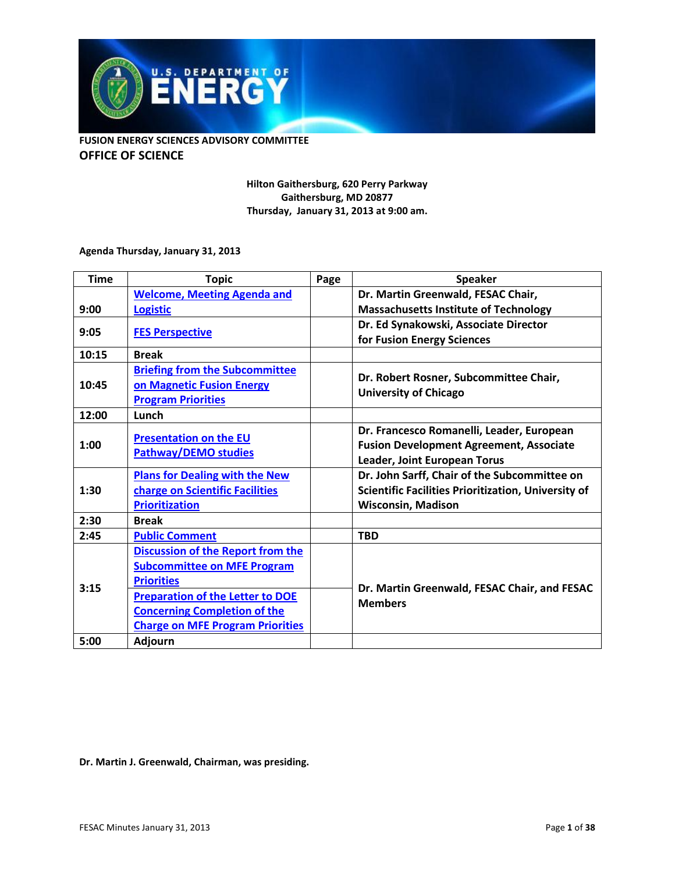

> **Hilton Gaithersburg, 620 Perry Parkway Gaithersburg, MD 20877 Thursday, January 31, 2013 at 9:00 am.**

#### **Agenda Thursday, January 31, 2013**

| <b>Time</b>   | <b>Topic</b>                                          | Page | <b>Speaker</b>                                                                                                                   |
|---------------|-------------------------------------------------------|------|----------------------------------------------------------------------------------------------------------------------------------|
|               | <b>Welcome, Meeting Agenda and</b>                    |      | Dr. Martin Greenwald, FESAC Chair,                                                                                               |
| 9:00          | <b>Logistic</b>                                       |      | <b>Massachusetts Institute of Technology</b>                                                                                     |
| 9:05<br>10:15 | <b>FES Perspective</b>                                |      | Dr. Ed Synakowski, Associate Director                                                                                            |
|               |                                                       |      | for Fusion Energy Sciences                                                                                                       |
|               | <b>Break</b>                                          |      |                                                                                                                                  |
| 10:45         | <b>Briefing from the Subcommittee</b>                 |      | Dr. Robert Rosner, Subcommittee Chair,<br><b>University of Chicago</b>                                                           |
|               | on Magnetic Fusion Energy                             |      |                                                                                                                                  |
|               | <b>Program Priorities</b>                             |      |                                                                                                                                  |
| 12:00         | Lunch                                                 |      |                                                                                                                                  |
| 1:00          | <b>Presentation on the EU</b><br>Pathway/DEMO studies |      | Dr. Francesco Romanelli, Leader, European                                                                                        |
|               |                                                       |      | <b>Fusion Development Agreement, Associate</b>                                                                                   |
|               |                                                       |      | Leader, Joint European Torus                                                                                                     |
| 1:30          | <b>Plans for Dealing with the New</b>                 |      | Dr. John Sarff, Chair of the Subcommittee on<br>Scientific Facilities Prioritization, University of<br><b>Wisconsin, Madison</b> |
|               | charge on Scientific Facilities                       |      |                                                                                                                                  |
|               | <b>Prioritization</b>                                 |      |                                                                                                                                  |
| 2:30          | <b>Break</b>                                          |      |                                                                                                                                  |
| 2:45          | <b>Public Comment</b>                                 |      | <b>TBD</b>                                                                                                                       |
| 3:15          | <b>Discussion of the Report from the</b>              |      | Dr. Martin Greenwald, FESAC Chair, and FESAC<br><b>Members</b>                                                                   |
|               | <b>Subcommittee on MFE Program</b>                    |      |                                                                                                                                  |
|               | <b>Priorities</b>                                     |      |                                                                                                                                  |
|               | <b>Preparation of the Letter to DOE</b>               |      |                                                                                                                                  |
|               | <b>Concerning Completion of the</b>                   |      |                                                                                                                                  |
|               | <b>Charge on MFE Program Priorities</b>               |      |                                                                                                                                  |
| 5:00          | <b>Adjourn</b>                                        |      |                                                                                                                                  |

**Dr. Martin J. Greenwald, Chairman, was presiding.**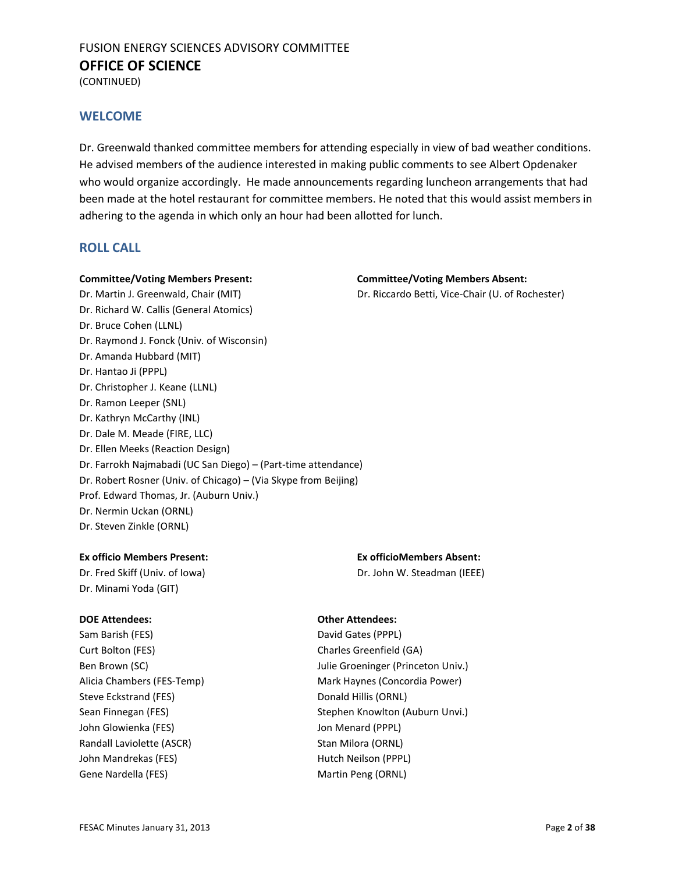(CONTINUED)

#### <span id="page-1-0"></span>**WELCOME**

Dr. Greenwald thanked committee members for attending especially in view of bad weather conditions. He advised members of the audience interested in making public comments to see Albert Opdenaker who would organize accordingly. He made announcements regarding luncheon arrangements that had been made at the hotel restaurant for committee members. He noted that this would assist members in adhering to the agenda in which only an hour had been allotted for lunch.

#### **ROLL CALL**

#### **Committee/Voting Members Present: Committee/Voting Members Absent:**

- Dr. Richard W. Callis (General Atomics) Dr. Bruce Cohen (LLNL) Dr. Raymond J. Fonck (Univ. of Wisconsin) Dr. Amanda Hubbard (MIT) Dr. Hantao Ji (PPPL) Dr. Christopher J. Keane (LLNL) Dr. Ramon Leeper (SNL) Dr. Kathryn McCarthy (INL) Dr. Dale M. Meade (FIRE, LLC)
- Dr. Ellen Meeks (Reaction Design) Dr. Farrokh Najmabadi (UC San Diego) – (Part-time attendance) Dr. Robert Rosner (Univ. of Chicago) – (Via Skype from Beijing)

Prof. Edward Thomas, Jr. (Auburn Univ.)

Dr. Nermin Uckan (ORNL)

Dr. Steven Zinkle (ORNL)

#### **Ex officio Members Present: Ex officioMembers Absent:**

Dr. Minami Yoda (GIT)

Sam Barish (FES) David Gates (PPPL) Curt Bolton (FES) Charles Greenfield (GA) Steve Eckstrand (FES) Donald Hillis (ORNL) John Glowienka (FES) Jon Menard (PPPL) Randall Laviolette (ASCR) Stan Milora (ORNL) John Mandrekas (FES) **Hutch Neilson (PPPL)** Gene Nardella (FES) Martin Peng (ORNL)

# Dr. Martin J. Greenwald, Chair (MIT) Dr. Riccardo Betti, Vice-Chair (U. of Rochester)

Dr. Fred Skiff (Univ. of Iowa) Dr. John W. Steadman (IEEE)

#### **DOE Attendees: Other Attendees:**

Ben Brown (SC) **See Accommodation** Julie Groeninger (Princeton Univ.) Alicia Chambers (FES-Temp) Mark Haynes (Concordia Power) Sean Finnegan (FES) Stephen Knowlton (Auburn Unvi.)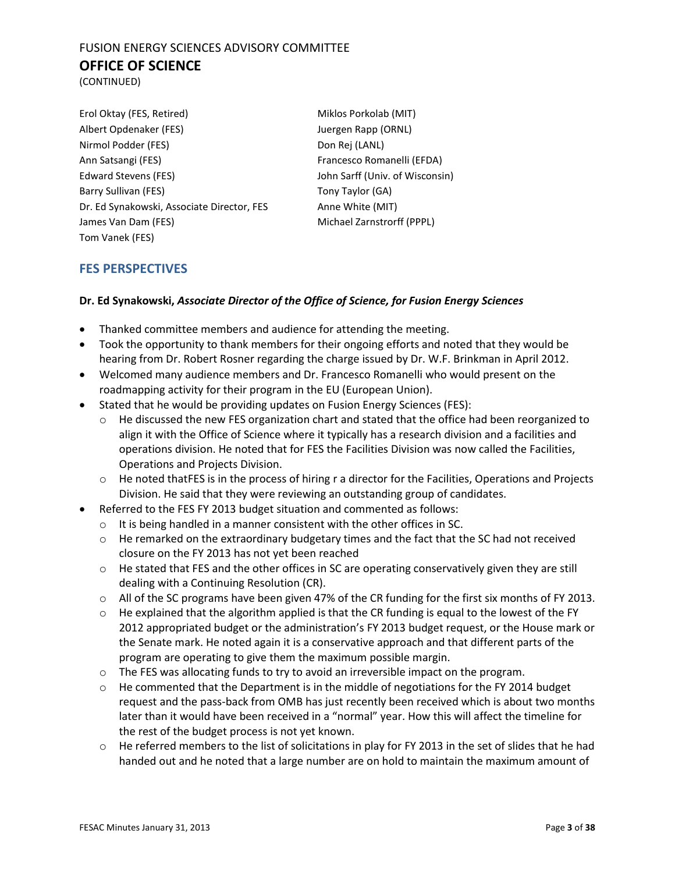(CONTINUED)

| Erol Oktay (FES, Retired)                  |  |  |  |
|--------------------------------------------|--|--|--|
| Albert Opdenaker (FES)                     |  |  |  |
| Nirmol Podder (FES)                        |  |  |  |
| Ann Satsangi (FES)                         |  |  |  |
| Edward Stevens (FES)                       |  |  |  |
| Barry Sullivan (FES)                       |  |  |  |
| Dr. Ed Synakowski, Associate Director, FES |  |  |  |
| James Van Dam (FES)                        |  |  |  |
| Tom Vanek (FES)                            |  |  |  |

Miklos Porkolab (MIT) Juergen Rapp (ORNL) Don Rej (LANL) Francesco Romanelli (EFDA) John Sarff (Univ. of Wisconsin) Tony Taylor (GA) Anne White (MIT) Michael Zarnstrorff (PPPL)

#### <span id="page-2-0"></span>**FES PERSPECTIVES**

#### **Dr. Ed Synakowski,** *Associate Director of the Office of Science, for Fusion Energy Sciences*

- Thanked committee members and audience for attending the meeting.
- Took the opportunity to thank members for their ongoing efforts and noted that they would be hearing from Dr. Robert Rosner regarding the charge issued by Dr. W.F. Brinkman in April 2012.
- Welcomed many audience members and Dr. Francesco Romanelli who would present on the roadmapping activity for their program in the EU (European Union).
- Stated that he would be providing updates on Fusion Energy Sciences (FES):
	- $\circ$  He discussed the new FES organization chart and stated that the office had been reorganized to align it with the Office of Science where it typically has a research division and a facilities and operations division. He noted that for FES the Facilities Division was now called the Facilities, Operations and Projects Division.
	- o He noted thatFES is in the process of hiring r a director for the Facilities, Operations and Projects Division. He said that they were reviewing an outstanding group of candidates.
- Referred to the FES FY 2013 budget situation and commented as follows:
	- o It is being handled in a manner consistent with the other offices in SC.
	- o He remarked on the extraordinary budgetary times and the fact that the SC had not received closure on the FY 2013 has not yet been reached
	- $\circ$  He stated that FES and the other offices in SC are operating conservatively given they are still dealing with a Continuing Resolution (CR).
	- o All of the SC programs have been given 47% of the CR funding for the first six months of FY 2013.
	- o He explained that the algorithm applied is that the CR funding is equal to the lowest of the FY 2012 appropriated budget or the administration's FY 2013 budget request, or the House mark or the Senate mark. He noted again it is a conservative approach and that different parts of the program are operating to give them the maximum possible margin.
	- $\circ$  The FES was allocating funds to try to avoid an irreversible impact on the program.
	- $\circ$  He commented that the Department is in the middle of negotiations for the FY 2014 budget request and the pass-back from OMB has just recently been received which is about two months later than it would have been received in a "normal" year. How this will affect the timeline for the rest of the budget process is not yet known.
	- $\circ$  He referred members to the list of solicitations in play for FY 2013 in the set of slides that he had handed out and he noted that a large number are on hold to maintain the maximum amount of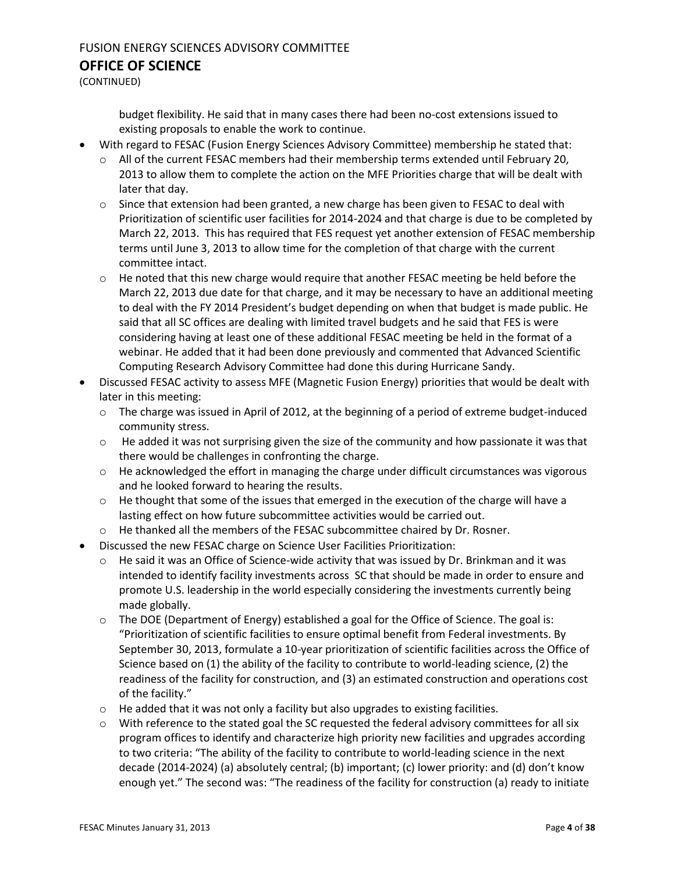(CONTINUED)

budget flexibility. He said that in many cases there had been no-cost extensions issued to existing proposals to enable the work to continue.

- With regard to FESAC (Fusion Energy Sciences Advisory Committee) membership he stated that:
	- o All of the current FESAC members had their membership terms extended until February 20, 2013 to allow them to complete the action on the MFE Priorities charge that will be dealt with later that day.
	- $\circ$  Since that extension had been granted, a new charge has been given to FESAC to deal with Prioritization of scientific user facilities for 2014-2024 and that charge is due to be completed by March 22, 2013. This has required that FES request yet another extension of FESAC membership terms until June 3, 2013 to allow time for the completion of that charge with the current committee intact.
	- o He noted that this new charge would require that another FESAC meeting be held before the March 22, 2013 due date for that charge, and it may be necessary to have an additional meeting to deal with the FY 2014 President's budget depending on when that budget is made public. He said that all SC offices are dealing with limited travel budgets and he said that FES is were considering having at least one of these additional FESAC meeting be held in the format of a webinar. He added that it had been done previously and commented that Advanced Scientific Computing Research Advisory Committee had done this during Hurricane Sandy.
- Discussed FESAC activity to assess MFE (Magnetic Fusion Energy) priorities that would be dealt with later in this meeting:
	- o The charge was issued in April of 2012, at the beginning of a period of extreme budget-induced community stress.
	- $\circ$  He added it was not surprising given the size of the community and how passionate it was that there would be challenges in confronting the charge.
	- $\circ$  He acknowledged the effort in managing the charge under difficult circumstances was vigorous and he looked forward to hearing the results.
	- $\circ$  He thought that some of the issues that emerged in the execution of the charge will have a lasting effect on how future subcommittee activities would be carried out.
	- o He thanked all the members of the FESAC subcommittee chaired by Dr. Rosner.
- Discussed the new FESAC charge on Science User Facilities Prioritization:
	- $\circ$  He said it was an Office of Science-wide activity that was issued by Dr. Brinkman and it was intended to identify facility investments across SC that should be made in order to ensure and promote U.S. leadership in the world especially considering the investments currently being made globally.
	- $\circ$  The DOE (Department of Energy) established a goal for the Office of Science. The goal is: "Prioritization of scientific facilities to ensure optimal benefit from Federal investments. By September 30, 2013, formulate a 10-year prioritization of scientific facilities across the Office of Science based on (1) the ability of the facility to contribute to world-leading science, (2) the readiness of the facility for construction, and (3) an estimated construction and operations cost of the facility."
	- o He added that it was not only a facility but also upgrades to existing facilities.
	- $\circ$  With reference to the stated goal the SC requested the federal advisory committees for all six program offices to identify and characterize high priority new facilities and upgrades according to two criteria: "The ability of the facility to contribute to world-leading science in the next decade (2014-2024) (a) absolutely central; (b) important; (c) lower priority: and (d) don't know enough yet." The second was: "The readiness of the facility for construction (a) ready to initiate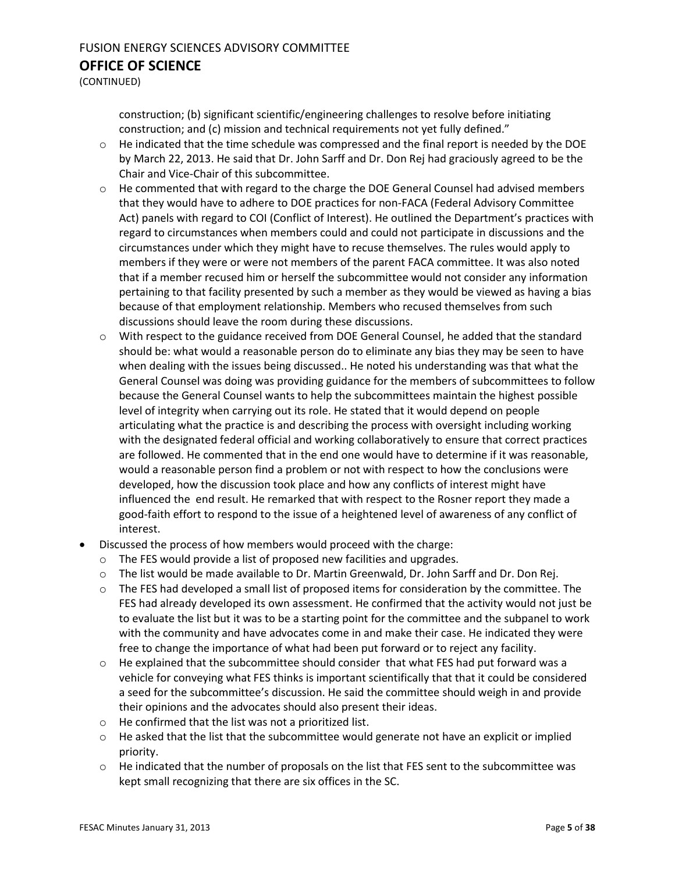(CONTINUED)

construction; (b) significant scientific/engineering challenges to resolve before initiating construction; and (c) mission and technical requirements not yet fully defined."

- $\circ$  He indicated that the time schedule was compressed and the final report is needed by the DOE by March 22, 2013. He said that Dr. John Sarff and Dr. Don Rej had graciously agreed to be the Chair and Vice-Chair of this subcommittee.
- $\circ$  He commented that with regard to the charge the DOE General Counsel had advised members that they would have to adhere to DOE practices for non-FACA (Federal Advisory Committee Act) panels with regard to COI (Conflict of Interest). He outlined the Department's practices with regard to circumstances when members could and could not participate in discussions and the circumstances under which they might have to recuse themselves. The rules would apply to members if they were or were not members of the parent FACA committee. It was also noted that if a member recused him or herself the subcommittee would not consider any information pertaining to that facility presented by such a member as they would be viewed as having a bias because of that employment relationship. Members who recused themselves from such discussions should leave the room during these discussions.
- $\circ$  With respect to the guidance received from DOE General Counsel, he added that the standard should be: what would a reasonable person do to eliminate any bias they may be seen to have when dealing with the issues being discussed.. He noted his understanding was that what the General Counsel was doing was providing guidance for the members of subcommittees to follow because the General Counsel wants to help the subcommittees maintain the highest possible level of integrity when carrying out its role. He stated that it would depend on people articulating what the practice is and describing the process with oversight including working with the designated federal official and working collaboratively to ensure that correct practices are followed. He commented that in the end one would have to determine if it was reasonable, would a reasonable person find a problem or not with respect to how the conclusions were developed, how the discussion took place and how any conflicts of interest might have influenced the end result. He remarked that with respect to the Rosner report they made a good-faith effort to respond to the issue of a heightened level of awareness of any conflict of interest.
- Discussed the process of how members would proceed with the charge:
	- o The FES would provide a list of proposed new facilities and upgrades.
	- o The list would be made available to Dr. Martin Greenwald, Dr. John Sarff and Dr. Don Rej.
	- $\circ$  The FES had developed a small list of proposed items for consideration by the committee. The FES had already developed its own assessment. He confirmed that the activity would not just be to evaluate the list but it was to be a starting point for the committee and the subpanel to work with the community and have advocates come in and make their case. He indicated they were free to change the importance of what had been put forward or to reject any facility.
	- $\circ$  He explained that the subcommittee should consider that what FES had put forward was a vehicle for conveying what FES thinks is important scientifically that that it could be considered a seed for the subcommittee's discussion. He said the committee should weigh in and provide their opinions and the advocates should also present their ideas.
	- o He confirmed that the list was not a prioritized list.
	- $\circ$  He asked that the list that the subcommittee would generate not have an explicit or implied priority.
	- $\circ$  He indicated that the number of proposals on the list that FES sent to the subcommittee was kept small recognizing that there are six offices in the SC.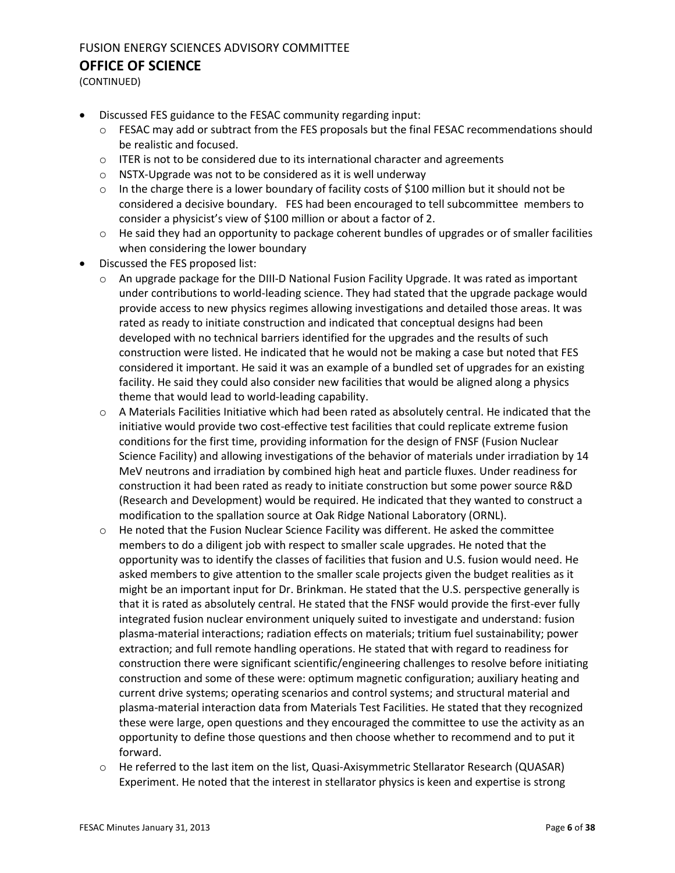(CONTINUED)

- Discussed FES guidance to the FESAC community regarding input:
	- $\circ$  FESAC may add or subtract from the FES proposals but the final FESAC recommendations should be realistic and focused.
	- $\circ$  ITER is not to be considered due to its international character and agreements
	- o NSTX-Upgrade was not to be considered as it is well underway
	- $\circ$  In the charge there is a lower boundary of facility costs of \$100 million but it should not be considered a decisive boundary. FES had been encouraged to tell subcommittee members to consider a physicist's view of \$100 million or about a factor of 2.
	- $\circ$  He said they had an opportunity to package coherent bundles of upgrades or of smaller facilities when considering the lower boundary
- Discussed the FES proposed list:
	- $\circ$  An upgrade package for the DIII-D National Fusion Facility Upgrade. It was rated as important under contributions to world-leading science. They had stated that the upgrade package would provide access to new physics regimes allowing investigations and detailed those areas. It was rated as ready to initiate construction and indicated that conceptual designs had been developed with no technical barriers identified for the upgrades and the results of such construction were listed. He indicated that he would not be making a case but noted that FES considered it important. He said it was an example of a bundled set of upgrades for an existing facility. He said they could also consider new facilities that would be aligned along a physics theme that would lead to world-leading capability.
	- $\circ$  A Materials Facilities Initiative which had been rated as absolutely central. He indicated that the initiative would provide two cost-effective test facilities that could replicate extreme fusion conditions for the first time, providing information for the design of FNSF (Fusion Nuclear Science Facility) and allowing investigations of the behavior of materials under irradiation by 14 MeV neutrons and irradiation by combined high heat and particle fluxes. Under readiness for construction it had been rated as ready to initiate construction but some power source R&D (Research and Development) would be required. He indicated that they wanted to construct a modification to the spallation source at Oak Ridge National Laboratory (ORNL).
	- $\circ$  He noted that the Fusion Nuclear Science Facility was different. He asked the committee members to do a diligent job with respect to smaller scale upgrades. He noted that the opportunity was to identify the classes of facilities that fusion and U.S. fusion would need. He asked members to give attention to the smaller scale projects given the budget realities as it might be an important input for Dr. Brinkman. He stated that the U.S. perspective generally is that it is rated as absolutely central. He stated that the FNSF would provide the first-ever fully integrated fusion nuclear environment uniquely suited to investigate and understand: fusion plasma-material interactions; radiation effects on materials; tritium fuel sustainability; power extraction; and full remote handling operations. He stated that with regard to readiness for construction there were significant scientific/engineering challenges to resolve before initiating construction and some of these were: optimum magnetic configuration; auxiliary heating and current drive systems; operating scenarios and control systems; and structural material and plasma-material interaction data from Materials Test Facilities. He stated that they recognized these were large, open questions and they encouraged the committee to use the activity as an opportunity to define those questions and then choose whether to recommend and to put it forward.
	- o He referred to the last item on the list, Quasi-Axisymmetric Stellarator Research (QUASAR) Experiment. He noted that the interest in stellarator physics is keen and expertise is strong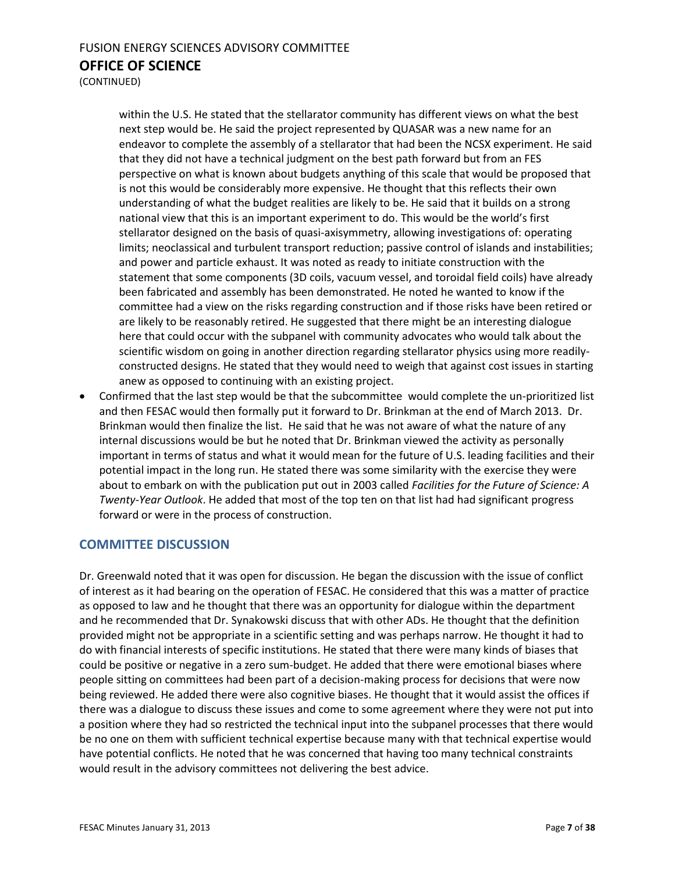(CONTINUED)

within the U.S. He stated that the stellarator community has different views on what the best next step would be. He said the project represented by QUASAR was a new name for an endeavor to complete the assembly of a stellarator that had been the NCSX experiment. He said that they did not have a technical judgment on the best path forward but from an FES perspective on what is known about budgets anything of this scale that would be proposed that is not this would be considerably more expensive. He thought that this reflects their own understanding of what the budget realities are likely to be. He said that it builds on a strong national view that this is an important experiment to do. This would be the world's first stellarator designed on the basis of quasi-axisymmetry, allowing investigations of: operating limits; neoclassical and turbulent transport reduction; passive control of islands and instabilities; and power and particle exhaust. It was noted as ready to initiate construction with the statement that some components (3D coils, vacuum vessel, and toroidal field coils) have already been fabricated and assembly has been demonstrated. He noted he wanted to know if the committee had a view on the risks regarding construction and if those risks have been retired or are likely to be reasonably retired. He suggested that there might be an interesting dialogue here that could occur with the subpanel with community advocates who would talk about the scientific wisdom on going in another direction regarding stellarator physics using more readilyconstructed designs. He stated that they would need to weigh that against cost issues in starting anew as opposed to continuing with an existing project.

 Confirmed that the last step would be that the subcommittee would complete the un-prioritized list and then FESAC would then formally put it forward to Dr. Brinkman at the end of March 2013. Dr. Brinkman would then finalize the list. He said that he was not aware of what the nature of any internal discussions would be but he noted that Dr. Brinkman viewed the activity as personally important in terms of status and what it would mean for the future of U.S. leading facilities and their potential impact in the long run. He stated there was some similarity with the exercise they were about to embark on with the publication put out in 2003 called *Facilities for the Future of Science: A Twenty-Year Outlook*. He added that most of the top ten on that list had had significant progress forward or were in the process of construction.

#### **COMMITTEE DISCUSSION**

Dr. Greenwald noted that it was open for discussion. He began the discussion with the issue of conflict of interest as it had bearing on the operation of FESAC. He considered that this was a matter of practice as opposed to law and he thought that there was an opportunity for dialogue within the department and he recommended that Dr. Synakowski discuss that with other ADs. He thought that the definition provided might not be appropriate in a scientific setting and was perhaps narrow. He thought it had to do with financial interests of specific institutions. He stated that there were many kinds of biases that could be positive or negative in a zero sum-budget. He added that there were emotional biases where people sitting on committees had been part of a decision-making process for decisions that were now being reviewed. He added there were also cognitive biases. He thought that it would assist the offices if there was a dialogue to discuss these issues and come to some agreement where they were not put into a position where they had so restricted the technical input into the subpanel processes that there would be no one on them with sufficient technical expertise because many with that technical expertise would have potential conflicts. He noted that he was concerned that having too many technical constraints would result in the advisory committees not delivering the best advice.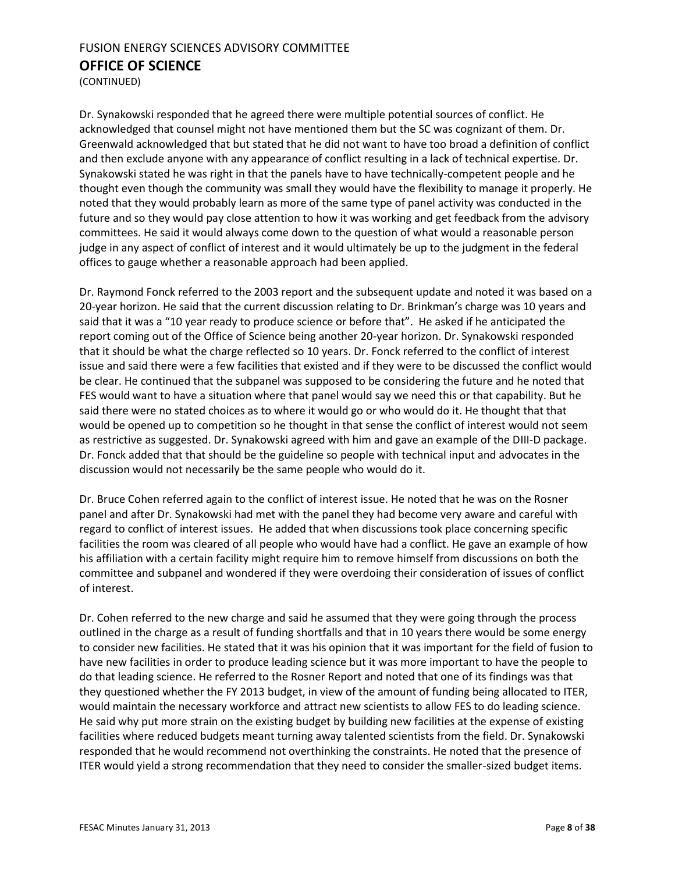(CONTINUED)

Dr. Synakowski responded that he agreed there were multiple potential sources of conflict. He acknowledged that counsel might not have mentioned them but the SC was cognizant of them. Dr. Greenwald acknowledged that but stated that he did not want to have too broad a definition of conflict and then exclude anyone with any appearance of conflict resulting in a lack of technical expertise. Dr. Synakowski stated he was right in that the panels have to have technically-competent people and he thought even though the community was small they would have the flexibility to manage it properly. He noted that they would probably learn as more of the same type of panel activity was conducted in the future and so they would pay close attention to how it was working and get feedback from the advisory committees. He said it would always come down to the question of what would a reasonable person judge in any aspect of conflict of interest and it would ultimately be up to the judgment in the federal offices to gauge whether a reasonable approach had been applied.

Dr. Raymond Fonck referred to the 2003 report and the subsequent update and noted it was based on a 20-year horizon. He said that the current discussion relating to Dr. Brinkman's charge was 10 years and said that it was a "10 year ready to produce science or before that". He asked if he anticipated the report coming out of the Office of Science being another 20-year horizon. Dr. Synakowski responded that it should be what the charge reflected so 10 years. Dr. Fonck referred to the conflict of interest issue and said there were a few facilities that existed and if they were to be discussed the conflict would be clear. He continued that the subpanel was supposed to be considering the future and he noted that FES would want to have a situation where that panel would say we need this or that capability. But he said there were no stated choices as to where it would go or who would do it. He thought that that would be opened up to competition so he thought in that sense the conflict of interest would not seem as restrictive as suggested. Dr. Synakowski agreed with him and gave an example of the DIII-D package. Dr. Fonck added that that should be the guideline so people with technical input and advocates in the discussion would not necessarily be the same people who would do it.

Dr. Bruce Cohen referred again to the conflict of interest issue. He noted that he was on the Rosner panel and after Dr. Synakowski had met with the panel they had become very aware and careful with regard to conflict of interest issues. He added that when discussions took place concerning specific facilities the room was cleared of all people who would have had a conflict. He gave an example of how his affiliation with a certain facility might require him to remove himself from discussions on both the committee and subpanel and wondered if they were overdoing their consideration of issues of conflict of interest.

Dr. Cohen referred to the new charge and said he assumed that they were going through the process outlined in the charge as a result of funding shortfalls and that in 10 years there would be some energy to consider new facilities. He stated that it was his opinion that it was important for the field of fusion to have new facilities in order to produce leading science but it was more important to have the people to do that leading science. He referred to the Rosner Report and noted that one of its findings was that they questioned whether the FY 2013 budget, in view of the amount of funding being allocated to ITER, would maintain the necessary workforce and attract new scientists to allow FES to do leading science. He said why put more strain on the existing budget by building new facilities at the expense of existing facilities where reduced budgets meant turning away talented scientists from the field. Dr. Synakowski responded that he would recommend not overthinking the constraints. He noted that the presence of ITER would yield a strong recommendation that they need to consider the smaller-sized budget items.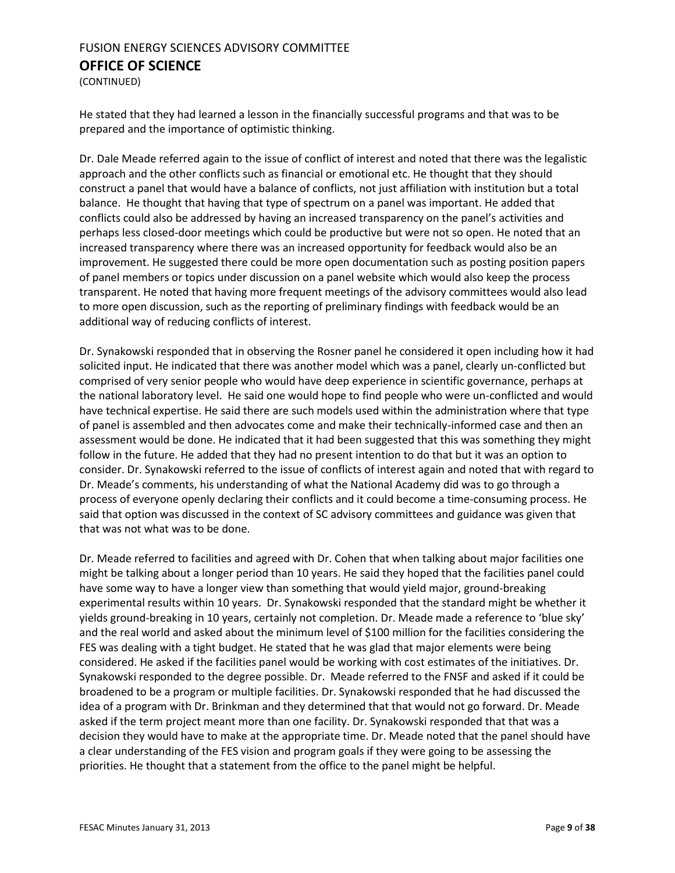(CONTINUED)

He stated that they had learned a lesson in the financially successful programs and that was to be prepared and the importance of optimistic thinking.

Dr. Dale Meade referred again to the issue of conflict of interest and noted that there was the legalistic approach and the other conflicts such as financial or emotional etc. He thought that they should construct a panel that would have a balance of conflicts, not just affiliation with institution but a total balance. He thought that having that type of spectrum on a panel was important. He added that conflicts could also be addressed by having an increased transparency on the panel's activities and perhaps less closed-door meetings which could be productive but were not so open. He noted that an increased transparency where there was an increased opportunity for feedback would also be an improvement. He suggested there could be more open documentation such as posting position papers of panel members or topics under discussion on a panel website which would also keep the process transparent. He noted that having more frequent meetings of the advisory committees would also lead to more open discussion, such as the reporting of preliminary findings with feedback would be an additional way of reducing conflicts of interest.

Dr. Synakowski responded that in observing the Rosner panel he considered it open including how it had solicited input. He indicated that there was another model which was a panel, clearly un-conflicted but comprised of very senior people who would have deep experience in scientific governance, perhaps at the national laboratory level. He said one would hope to find people who were un-conflicted and would have technical expertise. He said there are such models used within the administration where that type of panel is assembled and then advocates come and make their technically-informed case and then an assessment would be done. He indicated that it had been suggested that this was something they might follow in the future. He added that they had no present intention to do that but it was an option to consider. Dr. Synakowski referred to the issue of conflicts of interest again and noted that with regard to Dr. Meade's comments, his understanding of what the National Academy did was to go through a process of everyone openly declaring their conflicts and it could become a time-consuming process. He said that option was discussed in the context of SC advisory committees and guidance was given that that was not what was to be done.

Dr. Meade referred to facilities and agreed with Dr. Cohen that when talking about major facilities one might be talking about a longer period than 10 years. He said they hoped that the facilities panel could have some way to have a longer view than something that would yield major, ground-breaking experimental results within 10 years. Dr. Synakowski responded that the standard might be whether it yields ground-breaking in 10 years, certainly not completion. Dr. Meade made a reference to 'blue sky' and the real world and asked about the minimum level of \$100 million for the facilities considering the FES was dealing with a tight budget. He stated that he was glad that major elements were being considered. He asked if the facilities panel would be working with cost estimates of the initiatives. Dr. Synakowski responded to the degree possible. Dr. Meade referred to the FNSF and asked if it could be broadened to be a program or multiple facilities. Dr. Synakowski responded that he had discussed the idea of a program with Dr. Brinkman and they determined that that would not go forward. Dr. Meade asked if the term project meant more than one facility. Dr. Synakowski responded that that was a decision they would have to make at the appropriate time. Dr. Meade noted that the panel should have a clear understanding of the FES vision and program goals if they were going to be assessing the priorities. He thought that a statement from the office to the panel might be helpful.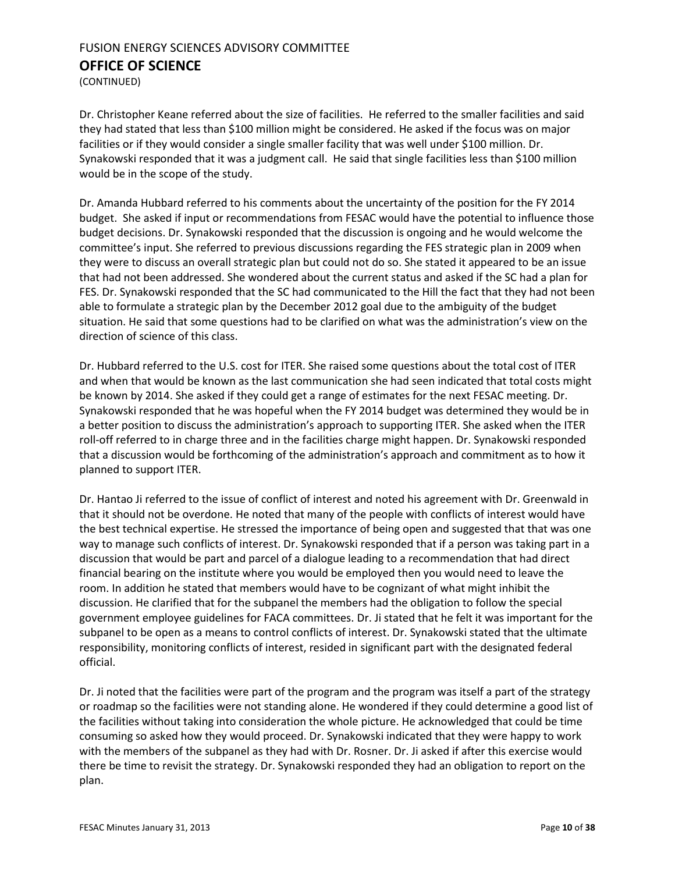(CONTINUED)

Dr. Christopher Keane referred about the size of facilities. He referred to the smaller facilities and said they had stated that less than \$100 million might be considered. He asked if the focus was on major facilities or if they would consider a single smaller facility that was well under \$100 million. Dr. Synakowski responded that it was a judgment call. He said that single facilities less than \$100 million would be in the scope of the study.

Dr. Amanda Hubbard referred to his comments about the uncertainty of the position for the FY 2014 budget. She asked if input or recommendations from FESAC would have the potential to influence those budget decisions. Dr. Synakowski responded that the discussion is ongoing and he would welcome the committee's input. She referred to previous discussions regarding the FES strategic plan in 2009 when they were to discuss an overall strategic plan but could not do so. She stated it appeared to be an issue that had not been addressed. She wondered about the current status and asked if the SC had a plan for FES. Dr. Synakowski responded that the SC had communicated to the Hill the fact that they had not been able to formulate a strategic plan by the December 2012 goal due to the ambiguity of the budget situation. He said that some questions had to be clarified on what was the administration's view on the direction of science of this class.

Dr. Hubbard referred to the U.S. cost for ITER. She raised some questions about the total cost of ITER and when that would be known as the last communication she had seen indicated that total costs might be known by 2014. She asked if they could get a range of estimates for the next FESAC meeting. Dr. Synakowski responded that he was hopeful when the FY 2014 budget was determined they would be in a better position to discuss the administration's approach to supporting ITER. She asked when the ITER roll-off referred to in charge three and in the facilities charge might happen. Dr. Synakowski responded that a discussion would be forthcoming of the administration's approach and commitment as to how it planned to support ITER.

Dr. Hantao Ji referred to the issue of conflict of interest and noted his agreement with Dr. Greenwald in that it should not be overdone. He noted that many of the people with conflicts of interest would have the best technical expertise. He stressed the importance of being open and suggested that that was one way to manage such conflicts of interest. Dr. Synakowski responded that if a person was taking part in a discussion that would be part and parcel of a dialogue leading to a recommendation that had direct financial bearing on the institute where you would be employed then you would need to leave the room. In addition he stated that members would have to be cognizant of what might inhibit the discussion. He clarified that for the subpanel the members had the obligation to follow the special government employee guidelines for FACA committees. Dr. Ji stated that he felt it was important for the subpanel to be open as a means to control conflicts of interest. Dr. Synakowski stated that the ultimate responsibility, monitoring conflicts of interest, resided in significant part with the designated federal official.

Dr. Ji noted that the facilities were part of the program and the program was itself a part of the strategy or roadmap so the facilities were not standing alone. He wondered if they could determine a good list of the facilities without taking into consideration the whole picture. He acknowledged that could be time consuming so asked how they would proceed. Dr. Synakowski indicated that they were happy to work with the members of the subpanel as they had with Dr. Rosner. Dr. Ji asked if after this exercise would there be time to revisit the strategy. Dr. Synakowski responded they had an obligation to report on the plan.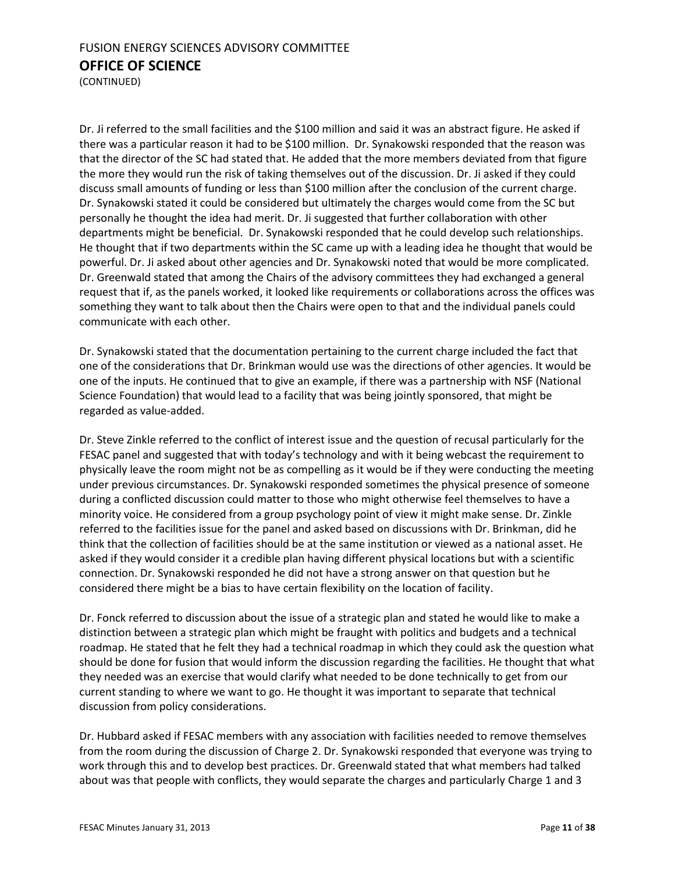(CONTINUED)

Dr. Ji referred to the small facilities and the \$100 million and said it was an abstract figure. He asked if there was a particular reason it had to be \$100 million. Dr. Synakowski responded that the reason was that the director of the SC had stated that. He added that the more members deviated from that figure the more they would run the risk of taking themselves out of the discussion. Dr. Ji asked if they could discuss small amounts of funding or less than \$100 million after the conclusion of the current charge. Dr. Synakowski stated it could be considered but ultimately the charges would come from the SC but personally he thought the idea had merit. Dr. Ji suggested that further collaboration with other departments might be beneficial. Dr. Synakowski responded that he could develop such relationships. He thought that if two departments within the SC came up with a leading idea he thought that would be powerful. Dr. Ji asked about other agencies and Dr. Synakowski noted that would be more complicated. Dr. Greenwald stated that among the Chairs of the advisory committees they had exchanged a general request that if, as the panels worked, it looked like requirements or collaborations across the offices was something they want to talk about then the Chairs were open to that and the individual panels could communicate with each other.

Dr. Synakowski stated that the documentation pertaining to the current charge included the fact that one of the considerations that Dr. Brinkman would use was the directions of other agencies. It would be one of the inputs. He continued that to give an example, if there was a partnership with NSF (National Science Foundation) that would lead to a facility that was being jointly sponsored, that might be regarded as value-added.

Dr. Steve Zinkle referred to the conflict of interest issue and the question of recusal particularly for the FESAC panel and suggested that with today's technology and with it being webcast the requirement to physically leave the room might not be as compelling as it would be if they were conducting the meeting under previous circumstances. Dr. Synakowski responded sometimes the physical presence of someone during a conflicted discussion could matter to those who might otherwise feel themselves to have a minority voice. He considered from a group psychology point of view it might make sense. Dr. Zinkle referred to the facilities issue for the panel and asked based on discussions with Dr. Brinkman, did he think that the collection of facilities should be at the same institution or viewed as a national asset. He asked if they would consider it a credible plan having different physical locations but with a scientific connection. Dr. Synakowski responded he did not have a strong answer on that question but he considered there might be a bias to have certain flexibility on the location of facility.

Dr. Fonck referred to discussion about the issue of a strategic plan and stated he would like to make a distinction between a strategic plan which might be fraught with politics and budgets and a technical roadmap. He stated that he felt they had a technical roadmap in which they could ask the question what should be done for fusion that would inform the discussion regarding the facilities. He thought that what they needed was an exercise that would clarify what needed to be done technically to get from our current standing to where we want to go. He thought it was important to separate that technical discussion from policy considerations.

Dr. Hubbard asked if FESAC members with any association with facilities needed to remove themselves from the room during the discussion of Charge 2. Dr. Synakowski responded that everyone was trying to work through this and to develop best practices. Dr. Greenwald stated that what members had talked about was that people with conflicts, they would separate the charges and particularly Charge 1 and 3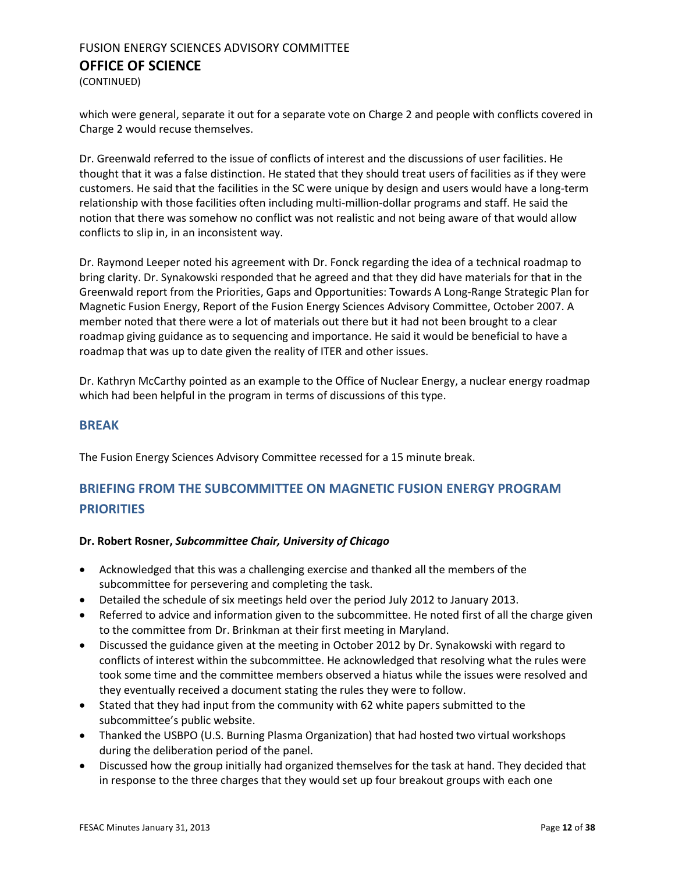(CONTINUED)

which were general, separate it out for a separate vote on Charge 2 and people with conflicts covered in Charge 2 would recuse themselves.

Dr. Greenwald referred to the issue of conflicts of interest and the discussions of user facilities. He thought that it was a false distinction. He stated that they should treat users of facilities as if they were customers. He said that the facilities in the SC were unique by design and users would have a long-term relationship with those facilities often including multi-million-dollar programs and staff. He said the notion that there was somehow no conflict was not realistic and not being aware of that would allow conflicts to slip in, in an inconsistent way.

Dr. Raymond Leeper noted his agreement with Dr. Fonck regarding the idea of a technical roadmap to bring clarity. Dr. Synakowski responded that he agreed and that they did have materials for that in the Greenwald report from the Priorities, Gaps and Opportunities: Towards A Long-Range Strategic Plan for Magnetic Fusion Energy, Report of the Fusion Energy Sciences Advisory Committee, October 2007. A member noted that there were a lot of materials out there but it had not been brought to a clear roadmap giving guidance as to sequencing and importance. He said it would be beneficial to have a roadmap that was up to date given the reality of ITER and other issues.

Dr. Kathryn McCarthy pointed as an example to the Office of Nuclear Energy, a nuclear energy roadmap which had been helpful in the program in terms of discussions of this type.

#### **BREAK**

The Fusion Energy Sciences Advisory Committee recessed for a 15 minute break.

## <span id="page-11-0"></span>**BRIEFING FROM THE SUBCOMMITTEE ON MAGNETIC FUSION ENERGY PROGRAM PRIORITIES**

#### **Dr. Robert Rosner,** *Subcommittee Chair, University of Chicago*

- Acknowledged that this was a challenging exercise and thanked all the members of the subcommittee for persevering and completing the task.
- Detailed the schedule of six meetings held over the period July 2012 to January 2013.
- Referred to advice and information given to the subcommittee. He noted first of all the charge given to the committee from Dr. Brinkman at their first meeting in Maryland.
- Discussed the guidance given at the meeting in October 2012 by Dr. Synakowski with regard to conflicts of interest within the subcommittee. He acknowledged that resolving what the rules were took some time and the committee members observed a hiatus while the issues were resolved and they eventually received a document stating the rules they were to follow.
- Stated that they had input from the community with 62 white papers submitted to the subcommittee's public website.
- Thanked the USBPO (U.S. Burning Plasma Organization) that had hosted two virtual workshops during the deliberation period of the panel.
- Discussed how the group initially had organized themselves for the task at hand. They decided that in response to the three charges that they would set up four breakout groups with each one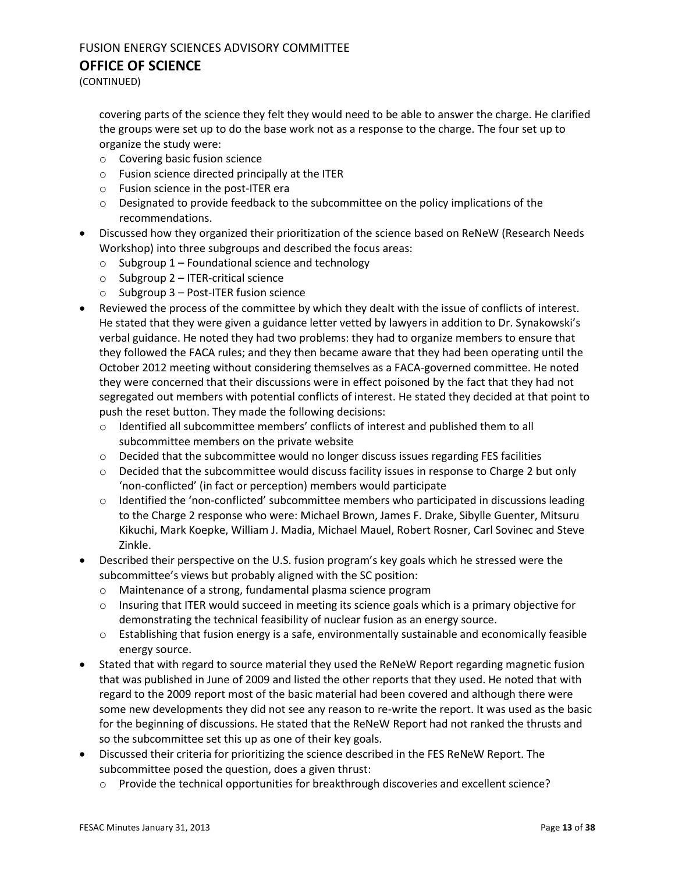### FUSION ENERGY SCIENCES ADVISORY COMMITTEE

#### **OFFICE OF SCIENCE**

(CONTINUED)

covering parts of the science they felt they would need to be able to answer the charge. He clarified the groups were set up to do the base work not as a response to the charge. The four set up to organize the study were:

- o Covering basic fusion science
- o Fusion science directed principally at the ITER
- o Fusion science in the post-ITER era
- $\circ$  Designated to provide feedback to the subcommittee on the policy implications of the recommendations.
- Discussed how they organized their prioritization of the science based on ReNeW (Research Needs Workshop) into three subgroups and described the focus areas:
	- $\circ$  Subgroup 1 Foundational science and technology
	- $\circ$  Subgroup 2 ITER-critical science
	- o Subgroup 3 Post-ITER fusion science
- Reviewed the process of the committee by which they dealt with the issue of conflicts of interest. He stated that they were given a guidance letter vetted by lawyers in addition to Dr. Synakowski's verbal guidance. He noted they had two problems: they had to organize members to ensure that they followed the FACA rules; and they then became aware that they had been operating until the October 2012 meeting without considering themselves as a FACA-governed committee. He noted they were concerned that their discussions were in effect poisoned by the fact that they had not segregated out members with potential conflicts of interest. He stated they decided at that point to push the reset button. They made the following decisions:
	- o Identified all subcommittee members' conflicts of interest and published them to all subcommittee members on the private website
	- $\circ$  Decided that the subcommittee would no longer discuss issues regarding FES facilities
	- $\circ$  Decided that the subcommittee would discuss facility issues in response to Charge 2 but only 'non-conflicted' (in fact or perception) members would participate
	- $\circ$  Identified the 'non-conflicted' subcommittee members who participated in discussions leading to the Charge 2 response who were: Michael Brown, James F. Drake, Sibylle Guenter, Mitsuru Kikuchi, Mark Koepke, William J. Madia, Michael Mauel, Robert Rosner, Carl Sovinec and Steve Zinkle.
- Described their perspective on the U.S. fusion program's key goals which he stressed were the subcommittee's views but probably aligned with the SC position:
	- o Maintenance of a strong, fundamental plasma science program
	- $\circ$  Insuring that ITER would succeed in meeting its science goals which is a primary objective for demonstrating the technical feasibility of nuclear fusion as an energy source.
	- $\circ$  Establishing that fusion energy is a safe, environmentally sustainable and economically feasible energy source.
- Stated that with regard to source material they used the ReNeW Report regarding magnetic fusion that was published in June of 2009 and listed the other reports that they used. He noted that with regard to the 2009 report most of the basic material had been covered and although there were some new developments they did not see any reason to re-write the report. It was used as the basic for the beginning of discussions. He stated that the ReNeW Report had not ranked the thrusts and so the subcommittee set this up as one of their key goals.
- Discussed their criteria for prioritizing the science described in the FES ReNeW Report. The subcommittee posed the question, does a given thrust:
	- o Provide the technical opportunities for breakthrough discoveries and excellent science?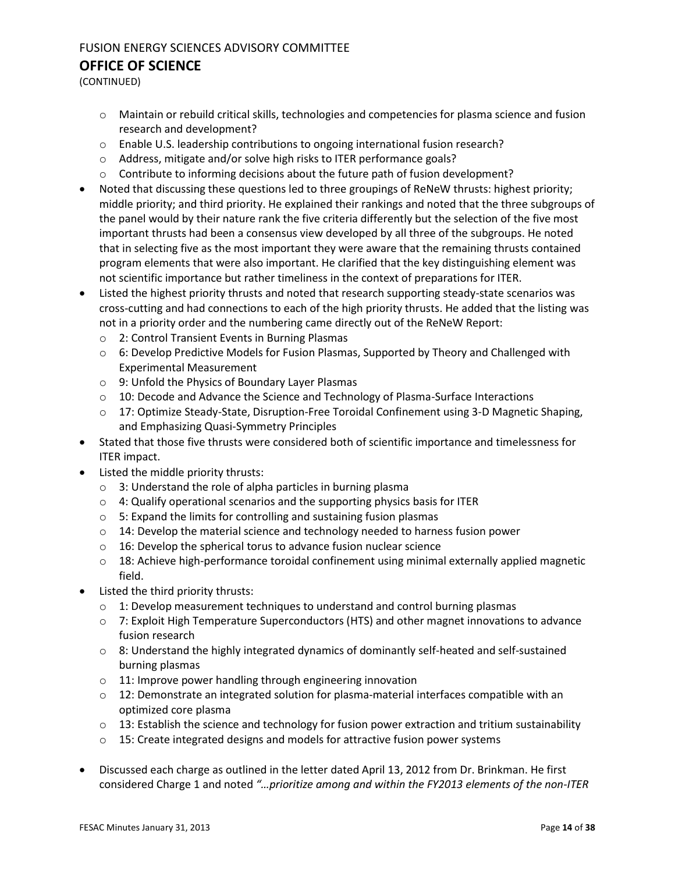(CONTINUED)

- o Maintain or rebuild critical skills, technologies and competencies for plasma science and fusion research and development?
- o Enable U.S. leadership contributions to ongoing international fusion research?
- o Address, mitigate and/or solve high risks to ITER performance goals?
- $\circ$  Contribute to informing decisions about the future path of fusion development?
- Noted that discussing these questions led to three groupings of ReNeW thrusts: highest priority; middle priority; and third priority. He explained their rankings and noted that the three subgroups of the panel would by their nature rank the five criteria differently but the selection of the five most important thrusts had been a consensus view developed by all three of the subgroups. He noted that in selecting five as the most important they were aware that the remaining thrusts contained program elements that were also important. He clarified that the key distinguishing element was not scientific importance but rather timeliness in the context of preparations for ITER.
- Listed the highest priority thrusts and noted that research supporting steady-state scenarios was cross-cutting and had connections to each of the high priority thrusts. He added that the listing was not in a priority order and the numbering came directly out of the ReNeW Report:
	- o 2: Control Transient Events in Burning Plasmas
	- $\circ$  6: Develop Predictive Models for Fusion Plasmas, Supported by Theory and Challenged with Experimental Measurement
	- o 9: Unfold the Physics of Boundary Layer Plasmas
	- $\circ$  10: Decode and Advance the Science and Technology of Plasma-Surface Interactions
	- o 17: Optimize Steady-State, Disruption-Free Toroidal Confinement using 3-D Magnetic Shaping, and Emphasizing Quasi-Symmetry Principles
- Stated that those five thrusts were considered both of scientific importance and timelessness for ITER impact.
- Listed the middle priority thrusts:
	- o 3: Understand the role of alpha particles in burning plasma
	- o 4: Qualify operational scenarios and the supporting physics basis for ITER
	- o 5: Expand the limits for controlling and sustaining fusion plasmas
	- $\circ$  14: Develop the material science and technology needed to harness fusion power
	- o 16: Develop the spherical torus to advance fusion nuclear science
	- $\circ$  18: Achieve high-performance toroidal confinement using minimal externally applied magnetic field.
- Listed the third priority thrusts:
	- o 1: Develop measurement techniques to understand and control burning plasmas
	- o 7: Exploit High Temperature Superconductors (HTS) and other magnet innovations to advance fusion research
	- $\circ$  8: Understand the highly integrated dynamics of dominantly self-heated and self-sustained burning plasmas
	- o 11: Improve power handling through engineering innovation
	- $\circ$  12: Demonstrate an integrated solution for plasma-material interfaces compatible with an optimized core plasma
	- $\circ$  13: Establish the science and technology for fusion power extraction and tritium sustainability
	- o 15: Create integrated designs and models for attractive fusion power systems
- Discussed each charge as outlined in the letter dated April 13, 2012 from Dr. Brinkman. He first considered Charge 1 and noted *"…prioritize among and within the FY2013 elements of the non-ITER*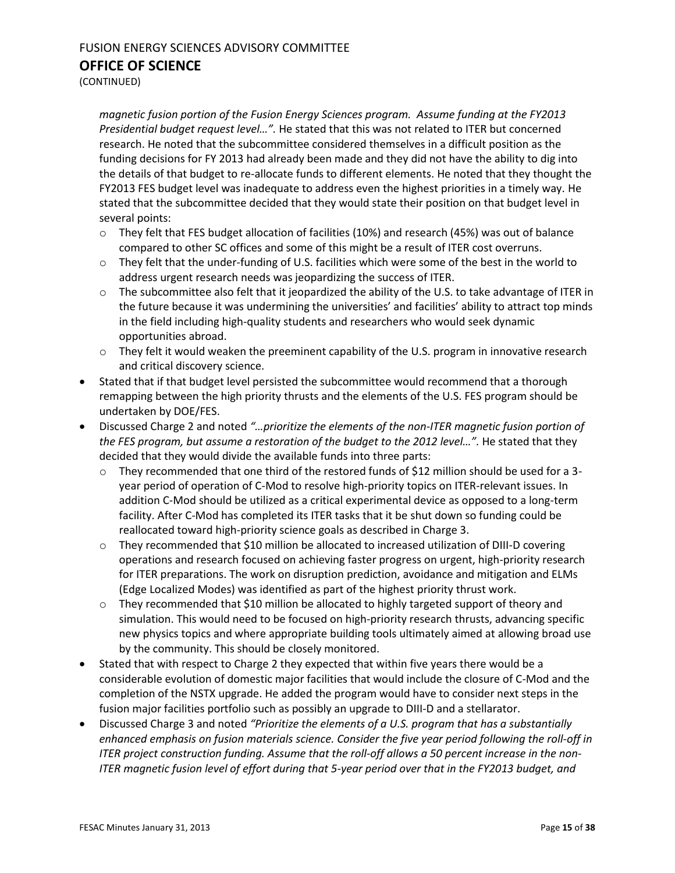(CONTINUED)

*magnetic fusion portion of the Fusion Energy Sciences program. Assume funding at the FY2013 Presidential budget request level…".* He stated that this was not related to ITER but concerned research. He noted that the subcommittee considered themselves in a difficult position as the funding decisions for FY 2013 had already been made and they did not have the ability to dig into the details of that budget to re-allocate funds to different elements. He noted that they thought the FY2013 FES budget level was inadequate to address even the highest priorities in a timely way. He stated that the subcommittee decided that they would state their position on that budget level in several points:

- $\circ$  They felt that FES budget allocation of facilities (10%) and research (45%) was out of balance compared to other SC offices and some of this might be a result of ITER cost overruns.
- $\circ$  They felt that the under-funding of U.S. facilities which were some of the best in the world to address urgent research needs was jeopardizing the success of ITER.
- $\circ$  The subcommittee also felt that it jeopardized the ability of the U.S. to take advantage of ITER in the future because it was undermining the universities' and facilities' ability to attract top minds in the field including high-quality students and researchers who would seek dynamic opportunities abroad.
- $\circ$  They felt it would weaken the preeminent capability of the U.S. program in innovative research and critical discovery science.
- Stated that if that budget level persisted the subcommittee would recommend that a thorough remapping between the high priority thrusts and the elements of the U.S. FES program should be undertaken by DOE/FES.
- Discussed Charge 2 and noted *"…prioritize the elements of the non-ITER magnetic fusion portion of the FES program, but assume a restoration of the budget to the 2012 level…".* He stated that they decided that they would divide the available funds into three parts:
	- $\circ$  They recommended that one third of the restored funds of \$12 million should be used for a 3year period of operation of C-Mod to resolve high-priority topics on ITER-relevant issues. In addition C-Mod should be utilized as a critical experimental device as opposed to a long-term facility. After C-Mod has completed its ITER tasks that it be shut down so funding could be reallocated toward high-priority science goals as described in Charge 3.
	- o They recommended that \$10 million be allocated to increased utilization of DIII-D covering operations and research focused on achieving faster progress on urgent, high-priority research for ITER preparations. The work on disruption prediction, avoidance and mitigation and ELMs (Edge Localized Modes) was identified as part of the highest priority thrust work.
	- $\circ$  They recommended that \$10 million be allocated to highly targeted support of theory and simulation. This would need to be focused on high-priority research thrusts, advancing specific new physics topics and where appropriate building tools ultimately aimed at allowing broad use by the community. This should be closely monitored.
- Stated that with respect to Charge 2 they expected that within five years there would be a considerable evolution of domestic major facilities that would include the closure of C-Mod and the completion of the NSTX upgrade. He added the program would have to consider next steps in the fusion major facilities portfolio such as possibly an upgrade to DIII-D and a stellarator.
- Discussed Charge 3 and noted *"Prioritize the elements of a U.S. program that has a substantially enhanced emphasis on fusion materials science. Consider the five year period following the roll-off in ITER project construction funding. Assume that the roll-off allows a 50 percent increase in the non-ITER magnetic fusion level of effort during that 5-year period over that in the FY2013 budget, and*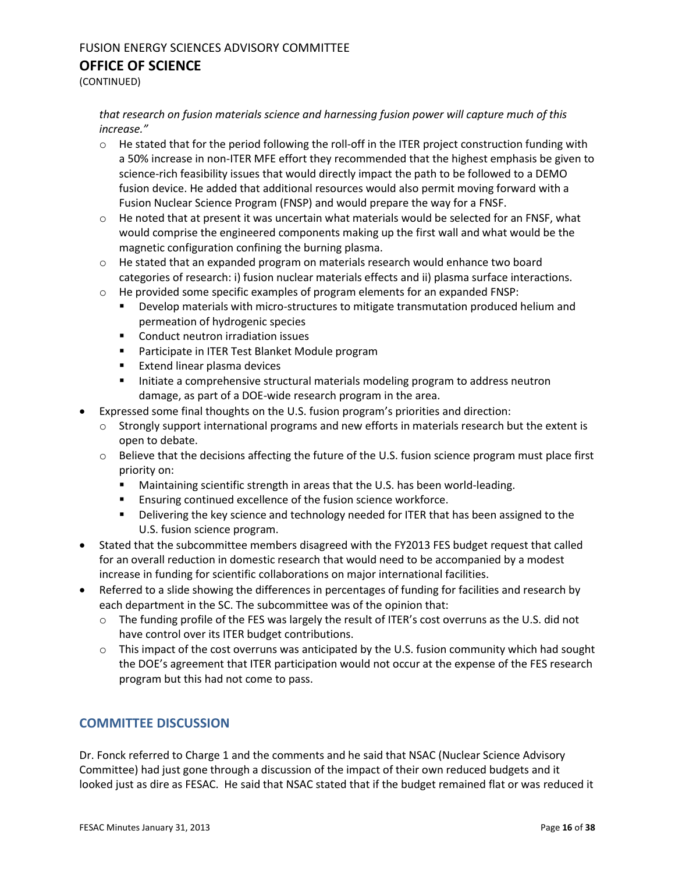(CONTINUED)

#### *that research on fusion materials science and harnessing fusion power will capture much of this increase."*

- o He stated that for the period following the roll-off in the ITER project construction funding with a 50% increase in non-ITER MFE effort they recommended that the highest emphasis be given to science-rich feasibility issues that would directly impact the path to be followed to a DEMO fusion device. He added that additional resources would also permit moving forward with a Fusion Nuclear Science Program (FNSP) and would prepare the way for a FNSF.
- $\circ$  He noted that at present it was uncertain what materials would be selected for an FNSF, what would comprise the engineered components making up the first wall and what would be the magnetic configuration confining the burning plasma.
- $\circ$  He stated that an expanded program on materials research would enhance two board categories of research: i) fusion nuclear materials effects and ii) plasma surface interactions.
- $\circ$  He provided some specific examples of program elements for an expanded FNSP:
	- **Physion materials with micro-structures to mitigate transmutation produced helium and** permeation of hydrogenic species
	- **EXECONDUCT CONDUCT CONDUCT CONDUCT** CONDUCT **CONDUCT**
	- **Participate in ITER Test Blanket Module program**
	- **Extend linear plasma devices**
	- **Initiate a comprehensive structural materials modeling program to address neutron** damage, as part of a DOE-wide research program in the area.
- Expressed some final thoughts on the U.S. fusion program's priorities and direction:
	- $\circ$  Strongly support international programs and new efforts in materials research but the extent is open to debate.
	- $\circ$  Believe that the decisions affecting the future of the U.S. fusion science program must place first priority on:
		- **Maintaining scientific strength in areas that the U.S. has been world-leading.**
		- **Ensuring continued excellence of the fusion science workforce.**
		- **•** Delivering the key science and technology needed for ITER that has been assigned to the U.S. fusion science program.
- Stated that the subcommittee members disagreed with the FY2013 FES budget request that called for an overall reduction in domestic research that would need to be accompanied by a modest increase in funding for scientific collaborations on major international facilities.
- Referred to a slide showing the differences in percentages of funding for facilities and research by each department in the SC. The subcommittee was of the opinion that:
	- $\circ$  The funding profile of the FES was largely the result of ITER's cost overruns as the U.S. did not have control over its ITER budget contributions.
	- $\circ$  This impact of the cost overruns was anticipated by the U.S. fusion community which had sought the DOE's agreement that ITER participation would not occur at the expense of the FES research program but this had not come to pass.

#### **COMMITTEE DISCUSSION**

Dr. Fonck referred to Charge 1 and the comments and he said that NSAC (Nuclear Science Advisory Committee) had just gone through a discussion of the impact of their own reduced budgets and it looked just as dire as FESAC. He said that NSAC stated that if the budget remained flat or was reduced it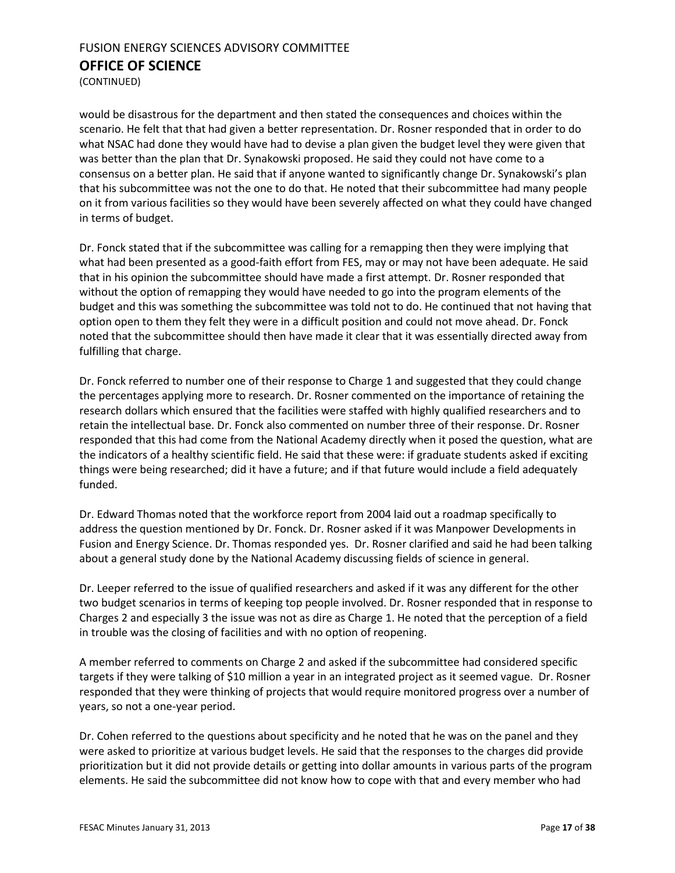(CONTINUED)

would be disastrous for the department and then stated the consequences and choices within the scenario. He felt that that had given a better representation. Dr. Rosner responded that in order to do what NSAC had done they would have had to devise a plan given the budget level they were given that was better than the plan that Dr. Synakowski proposed. He said they could not have come to a consensus on a better plan. He said that if anyone wanted to significantly change Dr. Synakowski's plan that his subcommittee was not the one to do that. He noted that their subcommittee had many people on it from various facilities so they would have been severely affected on what they could have changed in terms of budget.

Dr. Fonck stated that if the subcommittee was calling for a remapping then they were implying that what had been presented as a good-faith effort from FES, may or may not have been adequate. He said that in his opinion the subcommittee should have made a first attempt. Dr. Rosner responded that without the option of remapping they would have needed to go into the program elements of the budget and this was something the subcommittee was told not to do. He continued that not having that option open to them they felt they were in a difficult position and could not move ahead. Dr. Fonck noted that the subcommittee should then have made it clear that it was essentially directed away from fulfilling that charge.

Dr. Fonck referred to number one of their response to Charge 1 and suggested that they could change the percentages applying more to research. Dr. Rosner commented on the importance of retaining the research dollars which ensured that the facilities were staffed with highly qualified researchers and to retain the intellectual base. Dr. Fonck also commented on number three of their response. Dr. Rosner responded that this had come from the National Academy directly when it posed the question, what are the indicators of a healthy scientific field. He said that these were: if graduate students asked if exciting things were being researched; did it have a future; and if that future would include a field adequately funded.

Dr. Edward Thomas noted that the workforce report from 2004 laid out a roadmap specifically to address the question mentioned by Dr. Fonck. Dr. Rosner asked if it was Manpower Developments in Fusion and Energy Science. Dr. Thomas responded yes. Dr. Rosner clarified and said he had been talking about a general study done by the National Academy discussing fields of science in general.

Dr. Leeper referred to the issue of qualified researchers and asked if it was any different for the other two budget scenarios in terms of keeping top people involved. Dr. Rosner responded that in response to Charges 2 and especially 3 the issue was not as dire as Charge 1. He noted that the perception of a field in trouble was the closing of facilities and with no option of reopening.

A member referred to comments on Charge 2 and asked if the subcommittee had considered specific targets if they were talking of \$10 million a year in an integrated project as it seemed vague. Dr. Rosner responded that they were thinking of projects that would require monitored progress over a number of years, so not a one-year period.

Dr. Cohen referred to the questions about specificity and he noted that he was on the panel and they were asked to prioritize at various budget levels. He said that the responses to the charges did provide prioritization but it did not provide details or getting into dollar amounts in various parts of the program elements. He said the subcommittee did not know how to cope with that and every member who had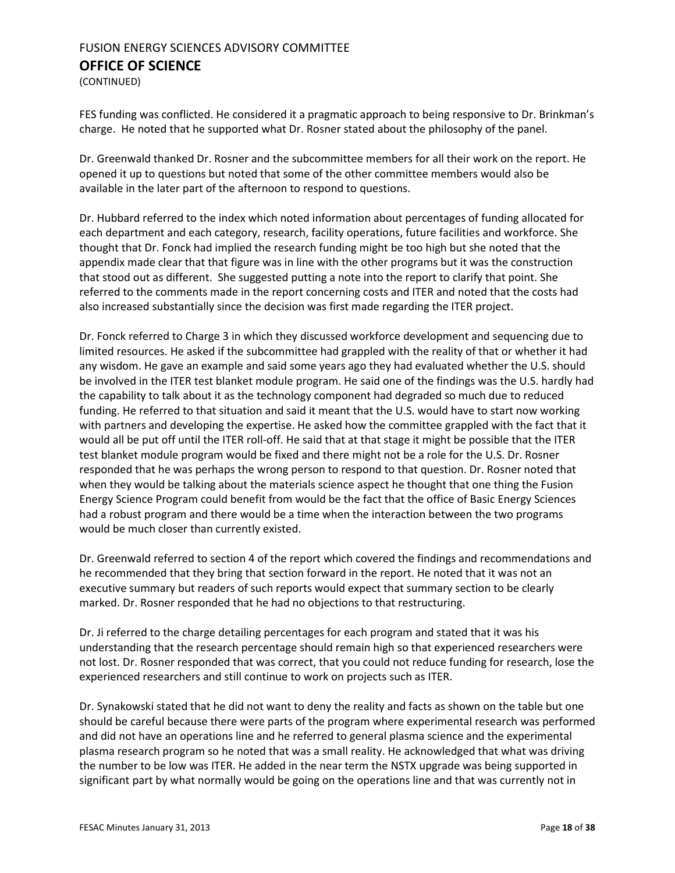(CONTINUED)

FES funding was conflicted. He considered it a pragmatic approach to being responsive to Dr. Brinkman's charge. He noted that he supported what Dr. Rosner stated about the philosophy of the panel.

Dr. Greenwald thanked Dr. Rosner and the subcommittee members for all their work on the report. He opened it up to questions but noted that some of the other committee members would also be available in the later part of the afternoon to respond to questions.

Dr. Hubbard referred to the index which noted information about percentages of funding allocated for each department and each category, research, facility operations, future facilities and workforce. She thought that Dr. Fonck had implied the research funding might be too high but she noted that the appendix made clear that that figure was in line with the other programs but it was the construction that stood out as different. She suggested putting a note into the report to clarify that point. She referred to the comments made in the report concerning costs and ITER and noted that the costs had also increased substantially since the decision was first made regarding the ITER project.

Dr. Fonck referred to Charge 3 in which they discussed workforce development and sequencing due to limited resources. He asked if the subcommittee had grappled with the reality of that or whether it had any wisdom. He gave an example and said some years ago they had evaluated whether the U.S. should be involved in the ITER test blanket module program. He said one of the findings was the U.S. hardly had the capability to talk about it as the technology component had degraded so much due to reduced funding. He referred to that situation and said it meant that the U.S. would have to start now working with partners and developing the expertise. He asked how the committee grappled with the fact that it would all be put off until the ITER roll-off. He said that at that stage it might be possible that the ITER test blanket module program would be fixed and there might not be a role for the U.S. Dr. Rosner responded that he was perhaps the wrong person to respond to that question. Dr. Rosner noted that when they would be talking about the materials science aspect he thought that one thing the Fusion Energy Science Program could benefit from would be the fact that the office of Basic Energy Sciences had a robust program and there would be a time when the interaction between the two programs would be much closer than currently existed.

Dr. Greenwald referred to section 4 of the report which covered the findings and recommendations and he recommended that they bring that section forward in the report. He noted that it was not an executive summary but readers of such reports would expect that summary section to be clearly marked. Dr. Rosner responded that he had no objections to that restructuring.

Dr. Ji referred to the charge detailing percentages for each program and stated that it was his understanding that the research percentage should remain high so that experienced researchers were not lost. Dr. Rosner responded that was correct, that you could not reduce funding for research, lose the experienced researchers and still continue to work on projects such as ITER.

Dr. Synakowski stated that he did not want to deny the reality and facts as shown on the table but one should be careful because there were parts of the program where experimental research was performed and did not have an operations line and he referred to general plasma science and the experimental plasma research program so he noted that was a small reality. He acknowledged that what was driving the number to be low was ITER. He added in the near term the NSTX upgrade was being supported in significant part by what normally would be going on the operations line and that was currently not in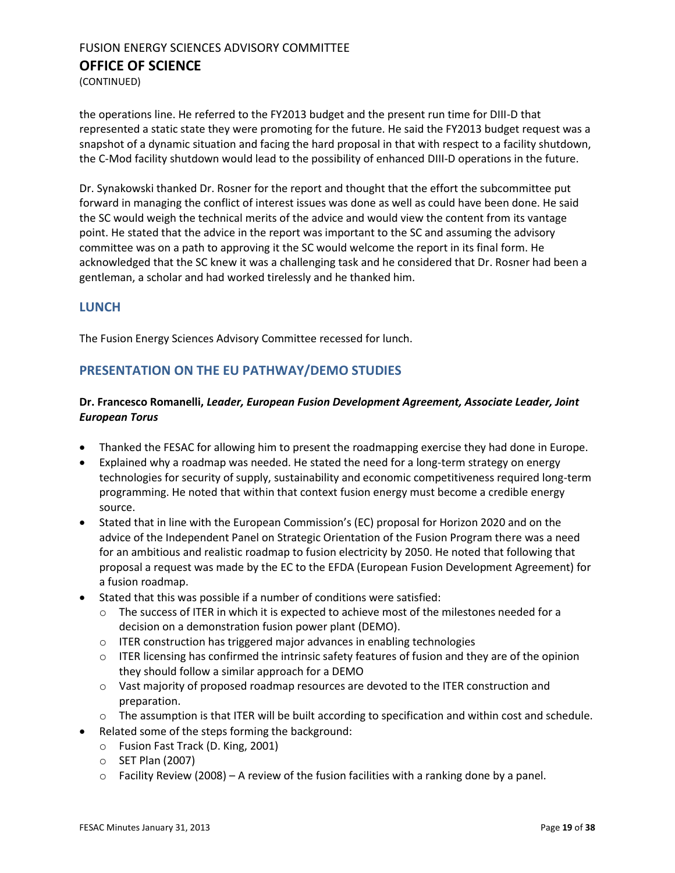(CONTINUED)

the operations line. He referred to the FY2013 budget and the present run time for DIII-D that represented a static state they were promoting for the future. He said the FY2013 budget request was a snapshot of a dynamic situation and facing the hard proposal in that with respect to a facility shutdown, the C-Mod facility shutdown would lead to the possibility of enhanced DIII-D operations in the future.

Dr. Synakowski thanked Dr. Rosner for the report and thought that the effort the subcommittee put forward in managing the conflict of interest issues was done as well as could have been done. He said the SC would weigh the technical merits of the advice and would view the content from its vantage point. He stated that the advice in the report was important to the SC and assuming the advisory committee was on a path to approving it the SC would welcome the report in its final form. He acknowledged that the SC knew it was a challenging task and he considered that Dr. Rosner had been a gentleman, a scholar and had worked tirelessly and he thanked him.

#### **LUNCH**

The Fusion Energy Sciences Advisory Committee recessed for lunch.

### <span id="page-18-0"></span>**PRESENTATION ON THE EU PATHWAY/DEMO STUDIES**

#### **Dr. Francesco Romanelli,** *Leader, European Fusion Development Agreement, Associate Leader, Joint European Torus*

- Thanked the FESAC for allowing him to present the roadmapping exercise they had done in Europe.
- Explained why a roadmap was needed. He stated the need for a long-term strategy on energy technologies for security of supply, sustainability and economic competitiveness required long-term programming. He noted that within that context fusion energy must become a credible energy source.
- Stated that in line with the European Commission's (EC) proposal for Horizon 2020 and on the advice of the Independent Panel on Strategic Orientation of the Fusion Program there was a need for an ambitious and realistic roadmap to fusion electricity by 2050. He noted that following that proposal a request was made by the EC to the EFDA (European Fusion Development Agreement) for a fusion roadmap.
- Stated that this was possible if a number of conditions were satisfied:
	- $\circ$  The success of ITER in which it is expected to achieve most of the milestones needed for a decision on a demonstration fusion power plant (DEMO).
	- o ITER construction has triggered major advances in enabling technologies
	- $\circ$  ITER licensing has confirmed the intrinsic safety features of fusion and they are of the opinion they should follow a similar approach for a DEMO
	- $\circ$  Vast majority of proposed roadmap resources are devoted to the ITER construction and preparation.
	- $\circ$  The assumption is that ITER will be built according to specification and within cost and schedule.
- Related some of the steps forming the background:
	- o Fusion Fast Track (D. King, 2001)
	- o SET Plan (2007)
	- $\circ$  Facility Review (2008) A review of the fusion facilities with a ranking done by a panel.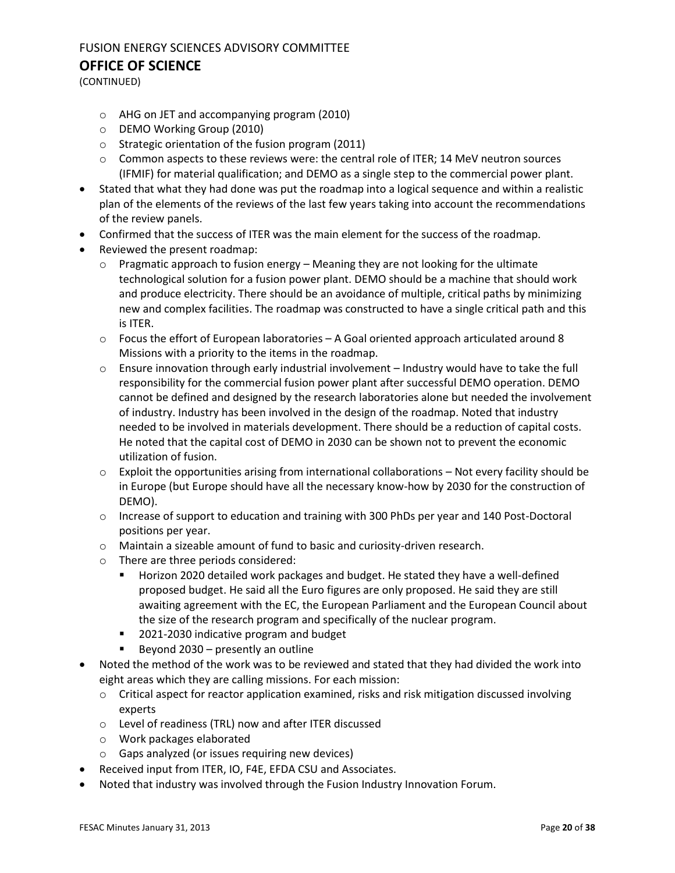## FUSION ENERGY SCIENCES ADVISORY COMMITTEE

#### **OFFICE OF SCIENCE**

(CONTINUED)

- o AHG on JET and accompanying program (2010)
- o DEMO Working Group (2010)
- o Strategic orientation of the fusion program (2011)
- $\circ$  Common aspects to these reviews were: the central role of ITER; 14 MeV neutron sources (IFMIF) for material qualification; and DEMO as a single step to the commercial power plant.
- Stated that what they had done was put the roadmap into a logical sequence and within a realistic plan of the elements of the reviews of the last few years taking into account the recommendations of the review panels.
- Confirmed that the success of ITER was the main element for the success of the roadmap.
- Reviewed the present roadmap:
	- $\circ$  Pragmatic approach to fusion energy Meaning they are not looking for the ultimate technological solution for a fusion power plant. DEMO should be a machine that should work and produce electricity. There should be an avoidance of multiple, critical paths by minimizing new and complex facilities. The roadmap was constructed to have a single critical path and this is ITER.
	- $\circ$  Focus the effort of European laboratories A Goal oriented approach articulated around 8 Missions with a priority to the items in the roadmap.
	- o Ensure innovation through early industrial involvement Industry would have to take the full responsibility for the commercial fusion power plant after successful DEMO operation. DEMO cannot be defined and designed by the research laboratories alone but needed the involvement of industry. Industry has been involved in the design of the roadmap. Noted that industry needed to be involved in materials development. There should be a reduction of capital costs. He noted that the capital cost of DEMO in 2030 can be shown not to prevent the economic utilization of fusion.
	- $\circ$  Exploit the opportunities arising from international collaborations Not every facility should be in Europe (but Europe should have all the necessary know-how by 2030 for the construction of DEMO).
	- o Increase of support to education and training with 300 PhDs per year and 140 Post-Doctoral positions per year.
	- o Maintain a sizeable amount of fund to basic and curiosity-driven research.
	- o There are three periods considered:
		- Horizon 2020 detailed work packages and budget. He stated they have a well-defined proposed budget. He said all the Euro figures are only proposed. He said they are still awaiting agreement with the EC, the European Parliament and the European Council about the size of the research program and specifically of the nuclear program.
		- 2021-2030 indicative program and budget
		- $\blacksquare$  Beyond 2030 presently an outline
- Noted the method of the work was to be reviewed and stated that they had divided the work into eight areas which they are calling missions. For each mission:
	- $\circ$  Critical aspect for reactor application examined, risks and risk mitigation discussed involving experts
	- o Level of readiness (TRL) now and after ITER discussed
	- o Work packages elaborated
	- o Gaps analyzed (or issues requiring new devices)
- Received input from ITER, IO, F4E, EFDA CSU and Associates.
- Noted that industry was involved through the Fusion Industry Innovation Forum.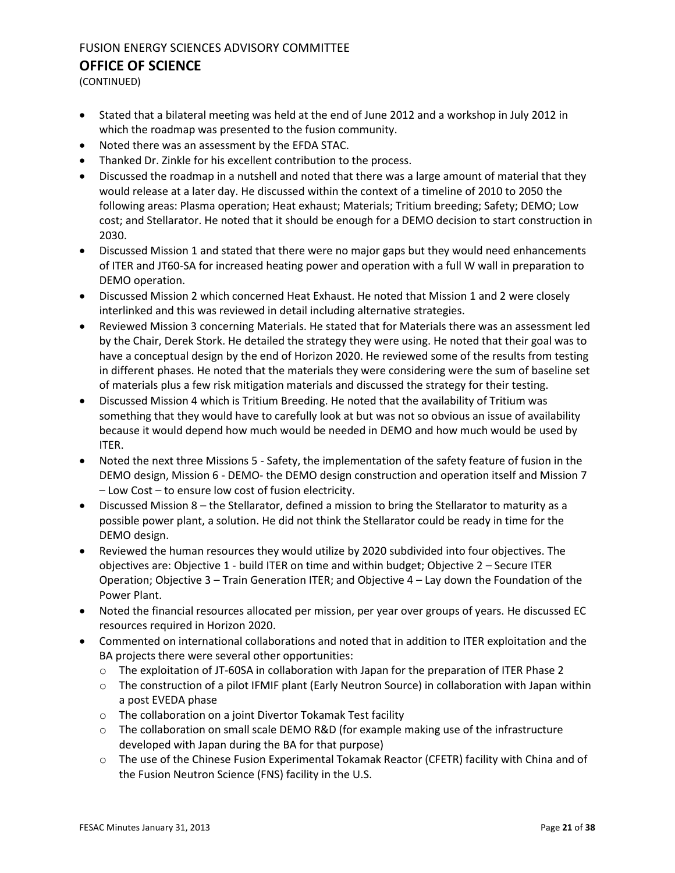(CONTINUED)

- Stated that a bilateral meeting was held at the end of June 2012 and a workshop in July 2012 in which the roadmap was presented to the fusion community.
- Noted there was an assessment by the EFDA STAC.
- Thanked Dr. Zinkle for his excellent contribution to the process.
- Discussed the roadmap in a nutshell and noted that there was a large amount of material that they would release at a later day. He discussed within the context of a timeline of 2010 to 2050 the following areas: Plasma operation; Heat exhaust; Materials; Tritium breeding; Safety; DEMO; Low cost; and Stellarator. He noted that it should be enough for a DEMO decision to start construction in 2030.
- Discussed Mission 1 and stated that there were no major gaps but they would need enhancements of ITER and JT60-SA for increased heating power and operation with a full W wall in preparation to DEMO operation.
- Discussed Mission 2 which concerned Heat Exhaust. He noted that Mission 1 and 2 were closely interlinked and this was reviewed in detail including alternative strategies.
- Reviewed Mission 3 concerning Materials. He stated that for Materials there was an assessment led by the Chair, Derek Stork. He detailed the strategy they were using. He noted that their goal was to have a conceptual design by the end of Horizon 2020. He reviewed some of the results from testing in different phases. He noted that the materials they were considering were the sum of baseline set of materials plus a few risk mitigation materials and discussed the strategy for their testing.
- Discussed Mission 4 which is Tritium Breeding. He noted that the availability of Tritium was something that they would have to carefully look at but was not so obvious an issue of availability because it would depend how much would be needed in DEMO and how much would be used by ITER.
- Noted the next three Missions 5 Safety, the implementation of the safety feature of fusion in the DEMO design, Mission 6 - DEMO- the DEMO design construction and operation itself and Mission 7 – Low Cost – to ensure low cost of fusion electricity.
- Discussed Mission 8 the Stellarator, defined a mission to bring the Stellarator to maturity as a possible power plant, a solution. He did not think the Stellarator could be ready in time for the DEMO design.
- Reviewed the human resources they would utilize by 2020 subdivided into four objectives. The objectives are: Objective 1 - build ITER on time and within budget; Objective 2 – Secure ITER Operation; Objective 3 – Train Generation ITER; and Objective 4 – Lay down the Foundation of the Power Plant.
- Noted the financial resources allocated per mission, per year over groups of years. He discussed EC resources required in Horizon 2020.
- Commented on international collaborations and noted that in addition to ITER exploitation and the BA projects there were several other opportunities:
	- $\circ$  The exploitation of JT-60SA in collaboration with Japan for the preparation of ITER Phase 2
	- o The construction of a pilot IFMIF plant (Early Neutron Source) in collaboration with Japan within a post EVEDA phase
	- o The collaboration on a joint Divertor Tokamak Test facility
	- o The collaboration on small scale DEMO R&D (for example making use of the infrastructure developed with Japan during the BA for that purpose)
	- o The use of the Chinese Fusion Experimental Tokamak Reactor (CFETR) facility with China and of the Fusion Neutron Science (FNS) facility in the U.S.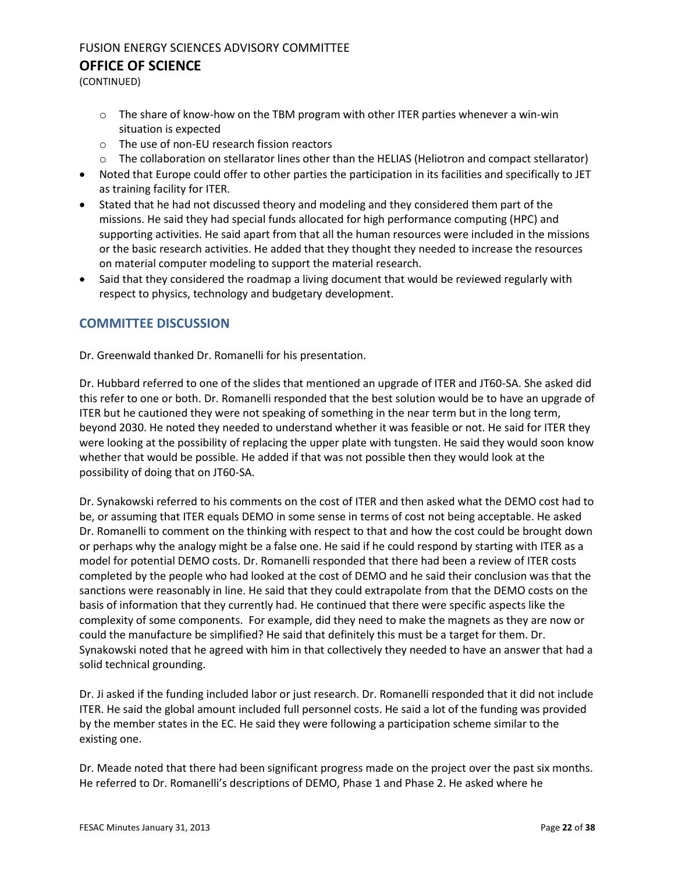(CONTINUED)

- $\circ$  The share of know-how on the TBM program with other ITER parties whenever a win-win situation is expected
- o The use of non-EU research fission reactors
- o The collaboration on stellarator lines other than the HELIAS (Heliotron and compact stellarator)
- Noted that Europe could offer to other parties the participation in its facilities and specifically to JET as training facility for ITER.
- Stated that he had not discussed theory and modeling and they considered them part of the missions. He said they had special funds allocated for high performance computing (HPC) and supporting activities. He said apart from that all the human resources were included in the missions or the basic research activities. He added that they thought they needed to increase the resources on material computer modeling to support the material research.
- Said that they considered the roadmap a living document that would be reviewed regularly with respect to physics, technology and budgetary development.

### **COMMITTEE DISCUSSION**

Dr. Greenwald thanked Dr. Romanelli for his presentation.

Dr. Hubbard referred to one of the slides that mentioned an upgrade of ITER and JT60-SA. She asked did this refer to one or both. Dr. Romanelli responded that the best solution would be to have an upgrade of ITER but he cautioned they were not speaking of something in the near term but in the long term, beyond 2030. He noted they needed to understand whether it was feasible or not. He said for ITER they were looking at the possibility of replacing the upper plate with tungsten. He said they would soon know whether that would be possible. He added if that was not possible then they would look at the possibility of doing that on JT60-SA.

Dr. Synakowski referred to his comments on the cost of ITER and then asked what the DEMO cost had to be, or assuming that ITER equals DEMO in some sense in terms of cost not being acceptable. He asked Dr. Romanelli to comment on the thinking with respect to that and how the cost could be brought down or perhaps why the analogy might be a false one. He said if he could respond by starting with ITER as a model for potential DEMO costs. Dr. Romanelli responded that there had been a review of ITER costs completed by the people who had looked at the cost of DEMO and he said their conclusion was that the sanctions were reasonably in line. He said that they could extrapolate from that the DEMO costs on the basis of information that they currently had. He continued that there were specific aspects like the complexity of some components. For example, did they need to make the magnets as they are now or could the manufacture be simplified? He said that definitely this must be a target for them. Dr. Synakowski noted that he agreed with him in that collectively they needed to have an answer that had a solid technical grounding.

Dr. Ji asked if the funding included labor or just research. Dr. Romanelli responded that it did not include ITER. He said the global amount included full personnel costs. He said a lot of the funding was provided by the member states in the EC. He said they were following a participation scheme similar to the existing one.

Dr. Meade noted that there had been significant progress made on the project over the past six months. He referred to Dr. Romanelli's descriptions of DEMO, Phase 1 and Phase 2. He asked where he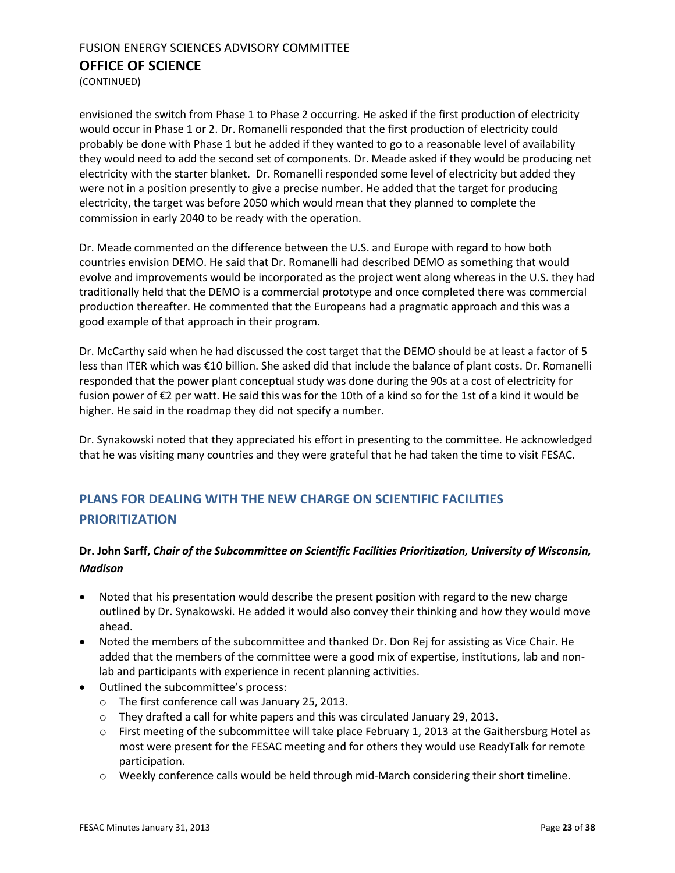(CONTINUED)

envisioned the switch from Phase 1 to Phase 2 occurring. He asked if the first production of electricity would occur in Phase 1 or 2. Dr. Romanelli responded that the first production of electricity could probably be done with Phase 1 but he added if they wanted to go to a reasonable level of availability they would need to add the second set of components. Dr. Meade asked if they would be producing net electricity with the starter blanket. Dr. Romanelli responded some level of electricity but added they were not in a position presently to give a precise number. He added that the target for producing electricity, the target was before 2050 which would mean that they planned to complete the commission in early 2040 to be ready with the operation.

Dr. Meade commented on the difference between the U.S. and Europe with regard to how both countries envision DEMO. He said that Dr. Romanelli had described DEMO as something that would evolve and improvements would be incorporated as the project went along whereas in the U.S. they had traditionally held that the DEMO is a commercial prototype and once completed there was commercial production thereafter. He commented that the Europeans had a pragmatic approach and this was a good example of that approach in their program.

Dr. McCarthy said when he had discussed the cost target that the DEMO should be at least a factor of 5 less than ITER which was €10 billion. She asked did that include the balance of plant costs. Dr. Romanelli responded that the power plant conceptual study was done during the 90s at a cost of electricity for fusion power of €2 per watt. He said this was for the 10th of a kind so for the 1st of a kind it would be higher. He said in the roadmap they did not specify a number.

Dr. Synakowski noted that they appreciated his effort in presenting to the committee. He acknowledged that he was visiting many countries and they were grateful that he had taken the time to visit FESAC.

## <span id="page-22-0"></span>**PLANS FOR DEALING WITH THE NEW CHARGE ON SCIENTIFIC FACILITIES PRIORITIZATION**

### **Dr. John Sarff,** *Chair of the Subcommittee on Scientific Facilities Prioritization, University of Wisconsin, Madison*

- Noted that his presentation would describe the present position with regard to the new charge outlined by Dr. Synakowski. He added it would also convey their thinking and how they would move ahead.
- Noted the members of the subcommittee and thanked Dr. Don Rej for assisting as Vice Chair. He added that the members of the committee were a good mix of expertise, institutions, lab and nonlab and participants with experience in recent planning activities.
- Outlined the subcommittee's process:
	- o The first conference call was January 25, 2013.
	- $\circ$  They drafted a call for white papers and this was circulated January 29, 2013.
	- o First meeting of the subcommittee will take place February 1, 2013 at the Gaithersburg Hotel as most were present for the FESAC meeting and for others they would use ReadyTalk for remote participation.
	- o Weekly conference calls would be held through mid-March considering their short timeline.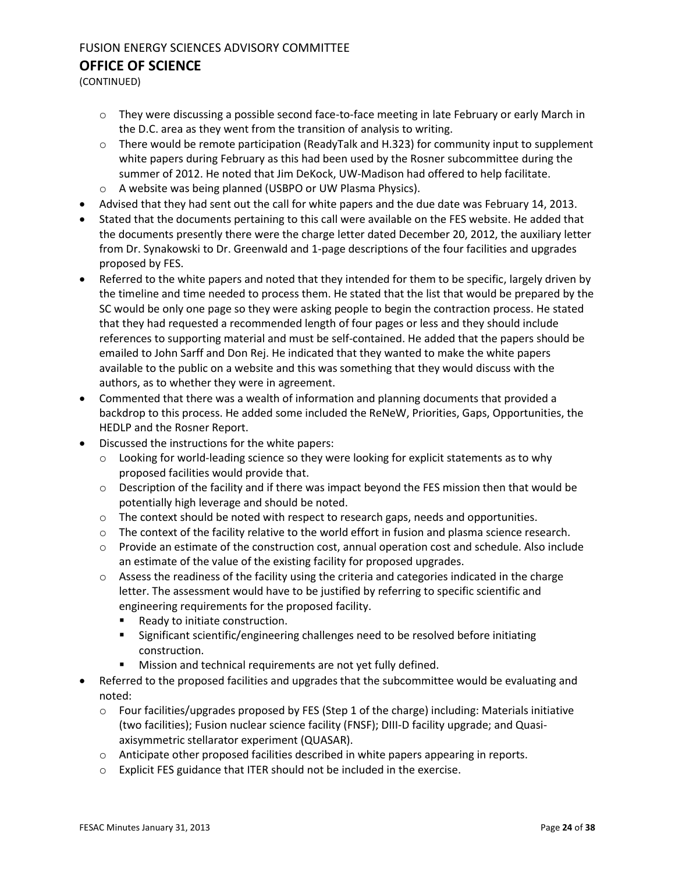(CONTINUED)

- o They were discussing a possible second face-to-face meeting in late February or early March in the D.C. area as they went from the transition of analysis to writing.
- o There would be remote participation (ReadyTalk and H.323) for community input to supplement white papers during February as this had been used by the Rosner subcommittee during the summer of 2012. He noted that Jim DeKock, UW-Madison had offered to help facilitate.
- o A website was being planned (USBPO or UW Plasma Physics).
- Advised that they had sent out the call for white papers and the due date was February 14, 2013.
- Stated that the documents pertaining to this call were available on the FES website. He added that the documents presently there were the charge letter dated December 20, 2012, the auxiliary letter from Dr. Synakowski to Dr. Greenwald and 1-page descriptions of the four facilities and upgrades proposed by FES.
- Referred to the white papers and noted that they intended for them to be specific, largely driven by the timeline and time needed to process them. He stated that the list that would be prepared by the SC would be only one page so they were asking people to begin the contraction process. He stated that they had requested a recommended length of four pages or less and they should include references to supporting material and must be self-contained. He added that the papers should be emailed to John Sarff and Don Rej. He indicated that they wanted to make the white papers available to the public on a website and this was something that they would discuss with the authors, as to whether they were in agreement.
- Commented that there was a wealth of information and planning documents that provided a backdrop to this process. He added some included the ReNeW, Priorities, Gaps, Opportunities, the HEDLP and the Rosner Report.
- Discussed the instructions for the white papers:
	- $\circ$  Looking for world-leading science so they were looking for explicit statements as to why proposed facilities would provide that.
	- $\circ$  Description of the facility and if there was impact beyond the FES mission then that would be potentially high leverage and should be noted.
	- $\circ$  The context should be noted with respect to research gaps, needs and opportunities.
	- $\circ$  The context of the facility relative to the world effort in fusion and plasma science research.
	- $\circ$  Provide an estimate of the construction cost, annual operation cost and schedule. Also include an estimate of the value of the existing facility for proposed upgrades.
	- $\circ$  Assess the readiness of the facility using the criteria and categories indicated in the charge letter. The assessment would have to be justified by referring to specific scientific and engineering requirements for the proposed facility.
		- **Ready to initiate construction.**
		- Significant scientific/engineering challenges need to be resolved before initiating construction.
		- **Mission and technical requirements are not yet fully defined.**
- Referred to the proposed facilities and upgrades that the subcommittee would be evaluating and noted:
	- $\circ$  Four facilities/upgrades proposed by FES (Step 1 of the charge) including: Materials initiative (two facilities); Fusion nuclear science facility (FNSF); DIII-D facility upgrade; and Quasiaxisymmetric stellarator experiment (QUASAR).
	- $\circ$  Anticipate other proposed facilities described in white papers appearing in reports.
	- o Explicit FES guidance that ITER should not be included in the exercise.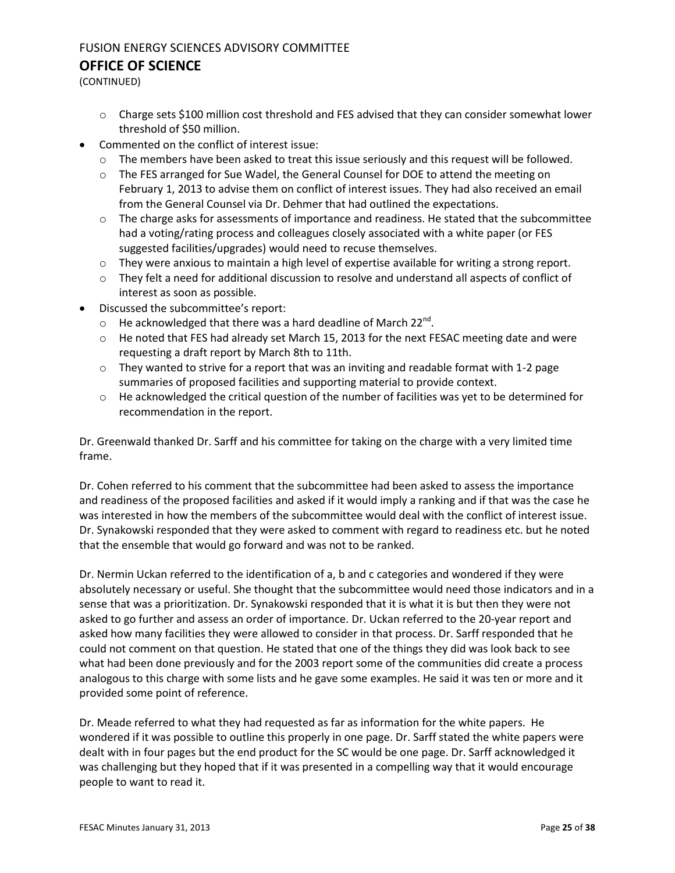## FUSION ENERGY SCIENCES ADVISORY COMMITTEE

#### **OFFICE OF SCIENCE**

(CONTINUED)

- o Charge sets \$100 million cost threshold and FES advised that they can consider somewhat lower threshold of \$50 million.
- Commented on the conflict of interest issue:
	- $\circ$  The members have been asked to treat this issue seriously and this request will be followed.
	- $\circ$  The FES arranged for Sue Wadel, the General Counsel for DOE to attend the meeting on February 1, 2013 to advise them on conflict of interest issues. They had also received an email from the General Counsel via Dr. Dehmer that had outlined the expectations.
	- $\circ$  The charge asks for assessments of importance and readiness. He stated that the subcommittee had a voting/rating process and colleagues closely associated with a white paper (or FES suggested facilities/upgrades) would need to recuse themselves.
	- $\circ$  They were anxious to maintain a high level of expertise available for writing a strong report.
	- o They felt a need for additional discussion to resolve and understand all aspects of conflict of interest as soon as possible.
- Discussed the subcommittee's report:
	- $\circ$  He acknowledged that there was a hard deadline of March 22<sup>nd</sup>.
	- $\circ$  He noted that FES had already set March 15, 2013 for the next FESAC meeting date and were requesting a draft report by March 8th to 11th.
	- o They wanted to strive for a report that was an inviting and readable format with 1-2 page summaries of proposed facilities and supporting material to provide context.
	- $\circ$  He acknowledged the critical question of the number of facilities was yet to be determined for recommendation in the report.

Dr. Greenwald thanked Dr. Sarff and his committee for taking on the charge with a very limited time frame.

Dr. Cohen referred to his comment that the subcommittee had been asked to assess the importance and readiness of the proposed facilities and asked if it would imply a ranking and if that was the case he was interested in how the members of the subcommittee would deal with the conflict of interest issue. Dr. Synakowski responded that they were asked to comment with regard to readiness etc. but he noted that the ensemble that would go forward and was not to be ranked.

Dr. Nermin Uckan referred to the identification of a, b and c categories and wondered if they were absolutely necessary or useful. She thought that the subcommittee would need those indicators and in a sense that was a prioritization. Dr. Synakowski responded that it is what it is but then they were not asked to go further and assess an order of importance. Dr. Uckan referred to the 20-year report and asked how many facilities they were allowed to consider in that process. Dr. Sarff responded that he could not comment on that question. He stated that one of the things they did was look back to see what had been done previously and for the 2003 report some of the communities did create a process analogous to this charge with some lists and he gave some examples. He said it was ten or more and it provided some point of reference.

Dr. Meade referred to what they had requested as far as information for the white papers. He wondered if it was possible to outline this properly in one page. Dr. Sarff stated the white papers were dealt with in four pages but the end product for the SC would be one page. Dr. Sarff acknowledged it was challenging but they hoped that if it was presented in a compelling way that it would encourage people to want to read it.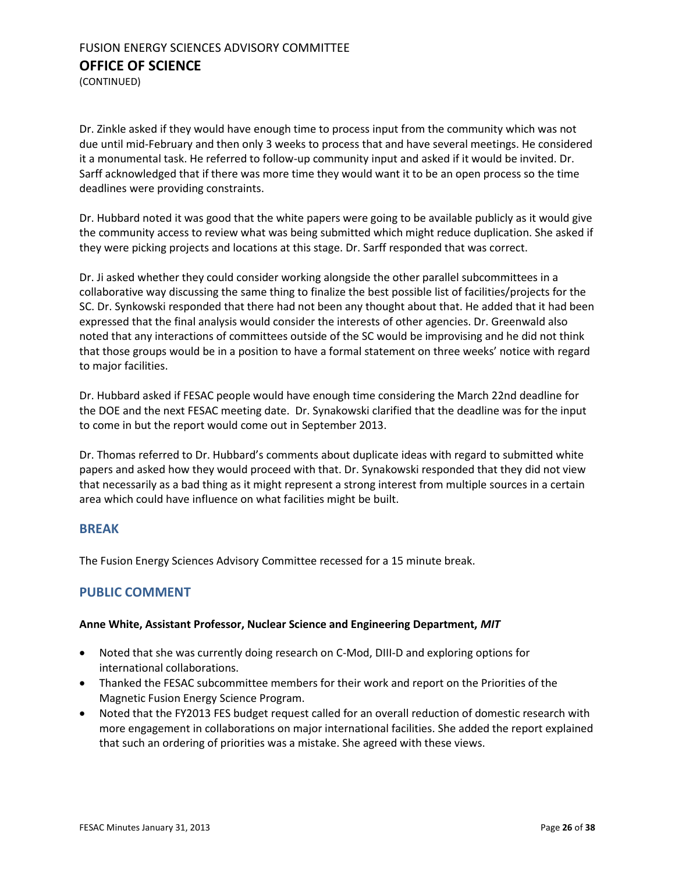(CONTINUED)

Dr. Zinkle asked if they would have enough time to process input from the community which was not due until mid-February and then only 3 weeks to process that and have several meetings. He considered it a monumental task. He referred to follow-up community input and asked if it would be invited. Dr. Sarff acknowledged that if there was more time they would want it to be an open process so the time deadlines were providing constraints.

Dr. Hubbard noted it was good that the white papers were going to be available publicly as it would give the community access to review what was being submitted which might reduce duplication. She asked if they were picking projects and locations at this stage. Dr. Sarff responded that was correct.

Dr. Ji asked whether they could consider working alongside the other parallel subcommittees in a collaborative way discussing the same thing to finalize the best possible list of facilities/projects for the SC. Dr. Synkowski responded that there had not been any thought about that. He added that it had been expressed that the final analysis would consider the interests of other agencies. Dr. Greenwald also noted that any interactions of committees outside of the SC would be improvising and he did not think that those groups would be in a position to have a formal statement on three weeks' notice with regard to major facilities.

Dr. Hubbard asked if FESAC people would have enough time considering the March 22nd deadline for the DOE and the next FESAC meeting date. Dr. Synakowski clarified that the deadline was for the input to come in but the report would come out in September 2013.

Dr. Thomas referred to Dr. Hubbard's comments about duplicate ideas with regard to submitted white papers and asked how they would proceed with that. Dr. Synakowski responded that they did not view that necessarily as a bad thing as it might represent a strong interest from multiple sources in a certain area which could have influence on what facilities might be built.

#### **BREAK**

The Fusion Energy Sciences Advisory Committee recessed for a 15 minute break.

#### <span id="page-25-0"></span>**PUBLIC COMMENT**

#### **Anne White, Assistant Professor, Nuclear Science and Engineering Department,** *MIT*

- Noted that she was currently doing research on C-Mod, DIII-D and exploring options for international collaborations.
- Thanked the FESAC subcommittee members for their work and report on the Priorities of the Magnetic Fusion Energy Science Program.
- Noted that the FY2013 FES budget request called for an overall reduction of domestic research with more engagement in collaborations on major international facilities. She added the report explained that such an ordering of priorities was a mistake. She agreed with these views.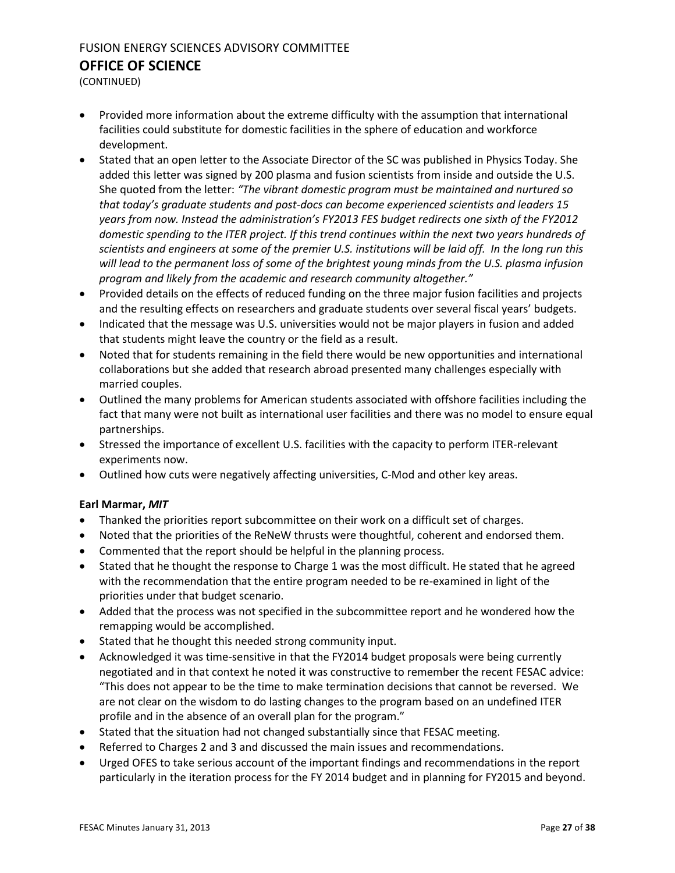(CONTINUED)

- Provided more information about the extreme difficulty with the assumption that international facilities could substitute for domestic facilities in the sphere of education and workforce development.
- Stated that an open letter to the Associate Director of the SC was published in Physics Today. She added this letter was signed by 200 plasma and fusion scientists from inside and outside the U.S. She quoted from the letter: *"The vibrant domestic program must be maintained and nurtured so that today's graduate students and post-docs can become experienced scientists and leaders 15 years from now. Instead the administration's FY2013 FES budget redirects one sixth of the FY2012 domestic spending to the ITER project. If this trend continues within the next two years hundreds of scientists and engineers at some of the premier U.S. institutions will be laid off. In the long run this will lead to the permanent loss of some of the brightest young minds from the U.S. plasma infusion program and likely from the academic and research community altogether."*
- Provided details on the effects of reduced funding on the three major fusion facilities and projects and the resulting effects on researchers and graduate students over several fiscal years' budgets.
- Indicated that the message was U.S. universities would not be major players in fusion and added that students might leave the country or the field as a result.
- Noted that for students remaining in the field there would be new opportunities and international collaborations but she added that research abroad presented many challenges especially with married couples.
- Outlined the many problems for American students associated with offshore facilities including the fact that many were not built as international user facilities and there was no model to ensure equal partnerships.
- Stressed the importance of excellent U.S. facilities with the capacity to perform ITER-relevant experiments now.
- Outlined how cuts were negatively affecting universities, C-Mod and other key areas.

#### **Earl Marmar,** *MIT*

- Thanked the priorities report subcommittee on their work on a difficult set of charges.
- Noted that the priorities of the ReNeW thrusts were thoughtful, coherent and endorsed them.
- Commented that the report should be helpful in the planning process.
- Stated that he thought the response to Charge 1 was the most difficult. He stated that he agreed with the recommendation that the entire program needed to be re-examined in light of the priorities under that budget scenario.
- Added that the process was not specified in the subcommittee report and he wondered how the remapping would be accomplished.
- Stated that he thought this needed strong community input.
- Acknowledged it was time-sensitive in that the FY2014 budget proposals were being currently negotiated and in that context he noted it was constructive to remember the recent FESAC advice: "This does not appear to be the time to make termination decisions that cannot be reversed. We are not clear on the wisdom to do lasting changes to the program based on an undefined ITER profile and in the absence of an overall plan for the program."
- Stated that the situation had not changed substantially since that FESAC meeting.
- Referred to Charges 2 and 3 and discussed the main issues and recommendations.
- Urged OFES to take serious account of the important findings and recommendations in the report particularly in the iteration process for the FY 2014 budget and in planning for FY2015 and beyond.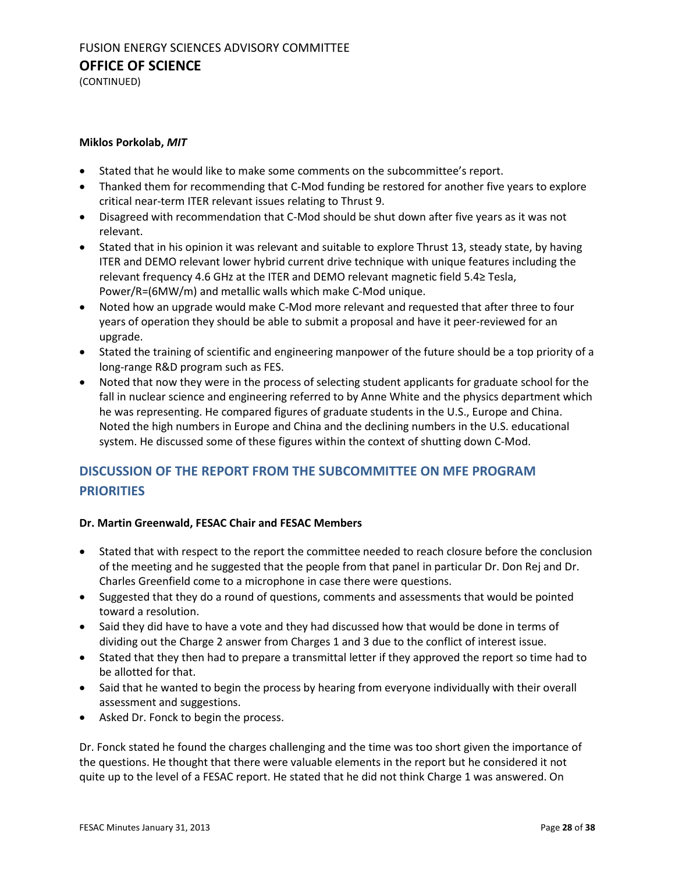(CONTINUED)

#### **Miklos Porkolab,** *MIT*

- Stated that he would like to make some comments on the subcommittee's report.
- Thanked them for recommending that C-Mod funding be restored for another five years to explore critical near-term ITER relevant issues relating to Thrust 9.
- Disagreed with recommendation that C-Mod should be shut down after five years as it was not relevant.
- Stated that in his opinion it was relevant and suitable to explore Thrust 13, steady state, by having ITER and DEMO relevant lower hybrid current drive technique with unique features including the relevant frequency 4.6 GHz at the ITER and DEMO relevant magnetic field 5.4≥ Tesla, Power/R=(6MW/m) and metallic walls which make C-Mod unique.
- Noted how an upgrade would make C-Mod more relevant and requested that after three to four years of operation they should be able to submit a proposal and have it peer-reviewed for an upgrade.
- Stated the training of scientific and engineering manpower of the future should be a top priority of a long-range R&D program such as FES.
- Noted that now they were in the process of selecting student applicants for graduate school for the fall in nuclear science and engineering referred to by Anne White and the physics department which he was representing. He compared figures of graduate students in the U.S., Europe and China. Noted the high numbers in Europe and China and the declining numbers in the U.S. educational system. He discussed some of these figures within the context of shutting down C-Mod.

## <span id="page-27-0"></span>**DISCUSSION OF THE REPORT FROM THE SUBCOMMITTEE ON MFE PROGRAM PRIORITIES**

#### **Dr. Martin Greenwald, FESAC Chair and FESAC Members**

- Stated that with respect to the report the committee needed to reach closure before the conclusion of the meeting and he suggested that the people from that panel in particular Dr. Don Rej and Dr. Charles Greenfield come to a microphone in case there were questions.
- Suggested that they do a round of questions, comments and assessments that would be pointed toward a resolution.
- Said they did have to have a vote and they had discussed how that would be done in terms of dividing out the Charge 2 answer from Charges 1 and 3 due to the conflict of interest issue.
- Stated that they then had to prepare a transmittal letter if they approved the report so time had to be allotted for that.
- Said that he wanted to begin the process by hearing from everyone individually with their overall assessment and suggestions.
- Asked Dr. Fonck to begin the process.

Dr. Fonck stated he found the charges challenging and the time was too short given the importance of the questions. He thought that there were valuable elements in the report but he considered it not quite up to the level of a FESAC report. He stated that he did not think Charge 1 was answered. On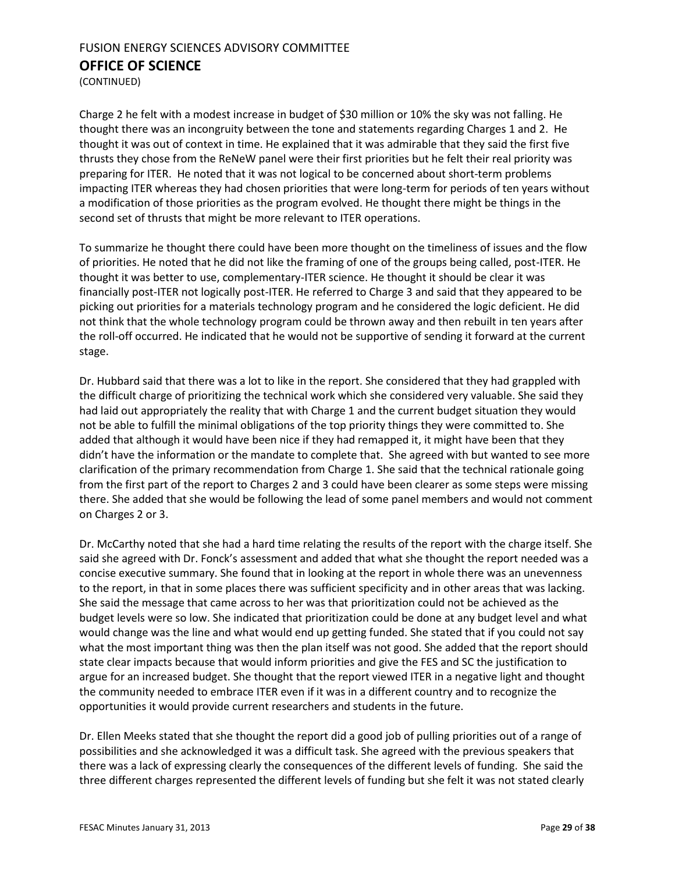(CONTINUED)

Charge 2 he felt with a modest increase in budget of \$30 million or 10% the sky was not falling. He thought there was an incongruity between the tone and statements regarding Charges 1 and 2. He thought it was out of context in time. He explained that it was admirable that they said the first five thrusts they chose from the ReNeW panel were their first priorities but he felt their real priority was preparing for ITER. He noted that it was not logical to be concerned about short-term problems impacting ITER whereas they had chosen priorities that were long-term for periods of ten years without a modification of those priorities as the program evolved. He thought there might be things in the second set of thrusts that might be more relevant to ITER operations.

To summarize he thought there could have been more thought on the timeliness of issues and the flow of priorities. He noted that he did not like the framing of one of the groups being called, post-ITER. He thought it was better to use, complementary-ITER science. He thought it should be clear it was financially post-ITER not logically post-ITER. He referred to Charge 3 and said that they appeared to be picking out priorities for a materials technology program and he considered the logic deficient. He did not think that the whole technology program could be thrown away and then rebuilt in ten years after the roll-off occurred. He indicated that he would not be supportive of sending it forward at the current stage.

Dr. Hubbard said that there was a lot to like in the report. She considered that they had grappled with the difficult charge of prioritizing the technical work which she considered very valuable. She said they had laid out appropriately the reality that with Charge 1 and the current budget situation they would not be able to fulfill the minimal obligations of the top priority things they were committed to. She added that although it would have been nice if they had remapped it, it might have been that they didn't have the information or the mandate to complete that. She agreed with but wanted to see more clarification of the primary recommendation from Charge 1. She said that the technical rationale going from the first part of the report to Charges 2 and 3 could have been clearer as some steps were missing there. She added that she would be following the lead of some panel members and would not comment on Charges 2 or 3.

Dr. McCarthy noted that she had a hard time relating the results of the report with the charge itself. She said she agreed with Dr. Fonck's assessment and added that what she thought the report needed was a concise executive summary. She found that in looking at the report in whole there was an unevenness to the report, in that in some places there was sufficient specificity and in other areas that was lacking. She said the message that came across to her was that prioritization could not be achieved as the budget levels were so low. She indicated that prioritization could be done at any budget level and what would change was the line and what would end up getting funded. She stated that if you could not say what the most important thing was then the plan itself was not good. She added that the report should state clear impacts because that would inform priorities and give the FES and SC the justification to argue for an increased budget. She thought that the report viewed ITER in a negative light and thought the community needed to embrace ITER even if it was in a different country and to recognize the opportunities it would provide current researchers and students in the future.

Dr. Ellen Meeks stated that she thought the report did a good job of pulling priorities out of a range of possibilities and she acknowledged it was a difficult task. She agreed with the previous speakers that there was a lack of expressing clearly the consequences of the different levels of funding. She said the three different charges represented the different levels of funding but she felt it was not stated clearly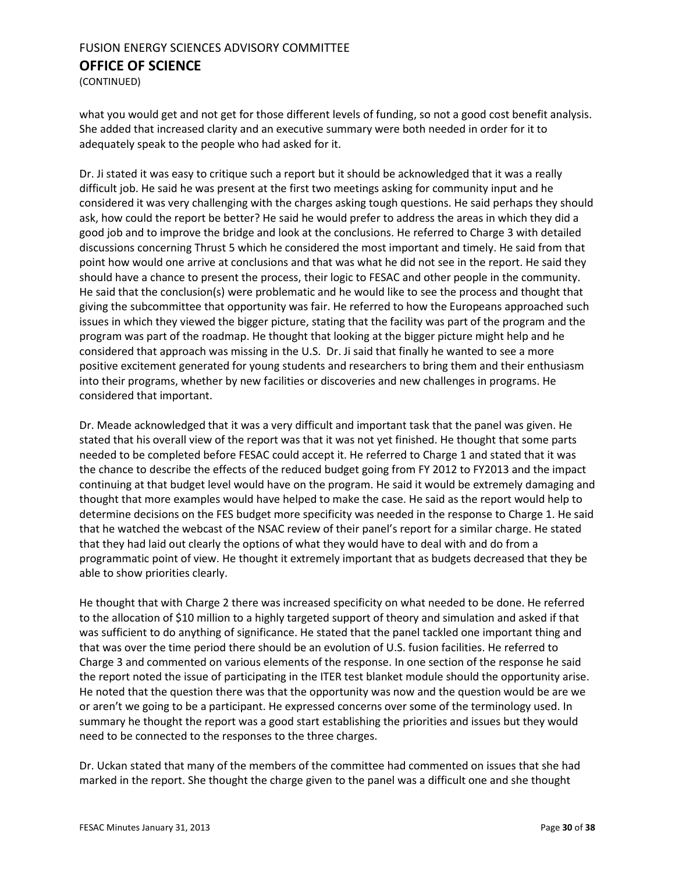(CONTINUED)

what you would get and not get for those different levels of funding, so not a good cost benefit analysis. She added that increased clarity and an executive summary were both needed in order for it to adequately speak to the people who had asked for it.

Dr. Ji stated it was easy to critique such a report but it should be acknowledged that it was a really difficult job. He said he was present at the first two meetings asking for community input and he considered it was very challenging with the charges asking tough questions. He said perhaps they should ask, how could the report be better? He said he would prefer to address the areas in which they did a good job and to improve the bridge and look at the conclusions. He referred to Charge 3 with detailed discussions concerning Thrust 5 which he considered the most important and timely. He said from that point how would one arrive at conclusions and that was what he did not see in the report. He said they should have a chance to present the process, their logic to FESAC and other people in the community. He said that the conclusion(s) were problematic and he would like to see the process and thought that giving the subcommittee that opportunity was fair. He referred to how the Europeans approached such issues in which they viewed the bigger picture, stating that the facility was part of the program and the program was part of the roadmap. He thought that looking at the bigger picture might help and he considered that approach was missing in the U.S. Dr. Ji said that finally he wanted to see a more positive excitement generated for young students and researchers to bring them and their enthusiasm into their programs, whether by new facilities or discoveries and new challenges in programs. He considered that important.

Dr. Meade acknowledged that it was a very difficult and important task that the panel was given. He stated that his overall view of the report was that it was not yet finished. He thought that some parts needed to be completed before FESAC could accept it. He referred to Charge 1 and stated that it was the chance to describe the effects of the reduced budget going from FY 2012 to FY2013 and the impact continuing at that budget level would have on the program. He said it would be extremely damaging and thought that more examples would have helped to make the case. He said as the report would help to determine decisions on the FES budget more specificity was needed in the response to Charge 1. He said that he watched the webcast of the NSAC review of their panel's report for a similar charge. He stated that they had laid out clearly the options of what they would have to deal with and do from a programmatic point of view. He thought it extremely important that as budgets decreased that they be able to show priorities clearly.

He thought that with Charge 2 there was increased specificity on what needed to be done. He referred to the allocation of \$10 million to a highly targeted support of theory and simulation and asked if that was sufficient to do anything of significance. He stated that the panel tackled one important thing and that was over the time period there should be an evolution of U.S. fusion facilities. He referred to Charge 3 and commented on various elements of the response. In one section of the response he said the report noted the issue of participating in the ITER test blanket module should the opportunity arise. He noted that the question there was that the opportunity was now and the question would be are we or aren't we going to be a participant. He expressed concerns over some of the terminology used. In summary he thought the report was a good start establishing the priorities and issues but they would need to be connected to the responses to the three charges.

Dr. Uckan stated that many of the members of the committee had commented on issues that she had marked in the report. She thought the charge given to the panel was a difficult one and she thought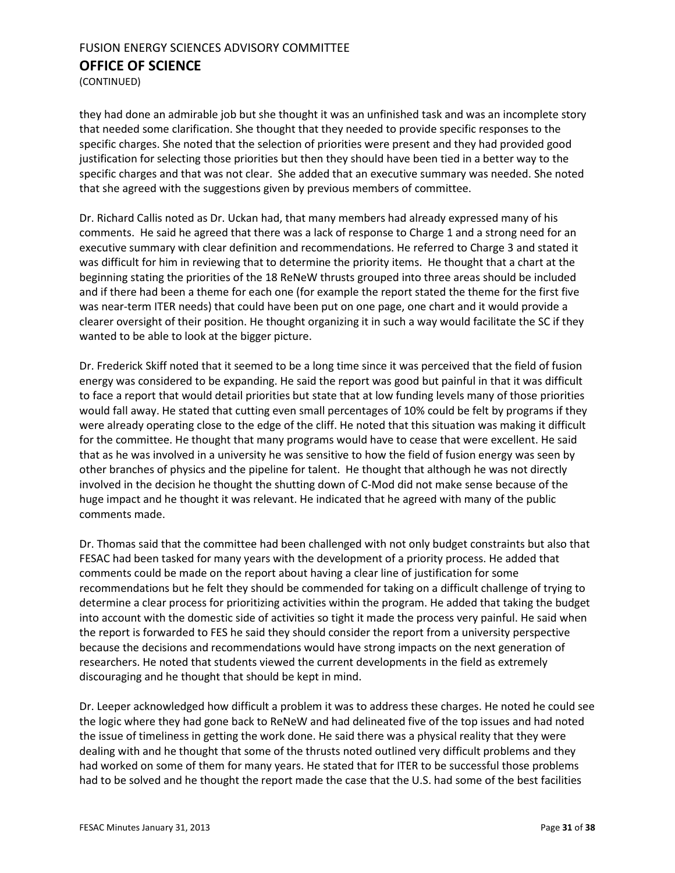(CONTINUED)

they had done an admirable job but she thought it was an unfinished task and was an incomplete story that needed some clarification. She thought that they needed to provide specific responses to the specific charges. She noted that the selection of priorities were present and they had provided good justification for selecting those priorities but then they should have been tied in a better way to the specific charges and that was not clear. She added that an executive summary was needed. She noted that she agreed with the suggestions given by previous members of committee.

Dr. Richard Callis noted as Dr. Uckan had, that many members had already expressed many of his comments. He said he agreed that there was a lack of response to Charge 1 and a strong need for an executive summary with clear definition and recommendations. He referred to Charge 3 and stated it was difficult for him in reviewing that to determine the priority items. He thought that a chart at the beginning stating the priorities of the 18 ReNeW thrusts grouped into three areas should be included and if there had been a theme for each one (for example the report stated the theme for the first five was near-term ITER needs) that could have been put on one page, one chart and it would provide a clearer oversight of their position. He thought organizing it in such a way would facilitate the SC if they wanted to be able to look at the bigger picture.

Dr. Frederick Skiff noted that it seemed to be a long time since it was perceived that the field of fusion energy was considered to be expanding. He said the report was good but painful in that it was difficult to face a report that would detail priorities but state that at low funding levels many of those priorities would fall away. He stated that cutting even small percentages of 10% could be felt by programs if they were already operating close to the edge of the cliff. He noted that this situation was making it difficult for the committee. He thought that many programs would have to cease that were excellent. He said that as he was involved in a university he was sensitive to how the field of fusion energy was seen by other branches of physics and the pipeline for talent. He thought that although he was not directly involved in the decision he thought the shutting down of C-Mod did not make sense because of the huge impact and he thought it was relevant. He indicated that he agreed with many of the public comments made.

Dr. Thomas said that the committee had been challenged with not only budget constraints but also that FESAC had been tasked for many years with the development of a priority process. He added that comments could be made on the report about having a clear line of justification for some recommendations but he felt they should be commended for taking on a difficult challenge of trying to determine a clear process for prioritizing activities within the program. He added that taking the budget into account with the domestic side of activities so tight it made the process very painful. He said when the report is forwarded to FES he said they should consider the report from a university perspective because the decisions and recommendations would have strong impacts on the next generation of researchers. He noted that students viewed the current developments in the field as extremely discouraging and he thought that should be kept in mind.

Dr. Leeper acknowledged how difficult a problem it was to address these charges. He noted he could see the logic where they had gone back to ReNeW and had delineated five of the top issues and had noted the issue of timeliness in getting the work done. He said there was a physical reality that they were dealing with and he thought that some of the thrusts noted outlined very difficult problems and they had worked on some of them for many years. He stated that for ITER to be successful those problems had to be solved and he thought the report made the case that the U.S. had some of the best facilities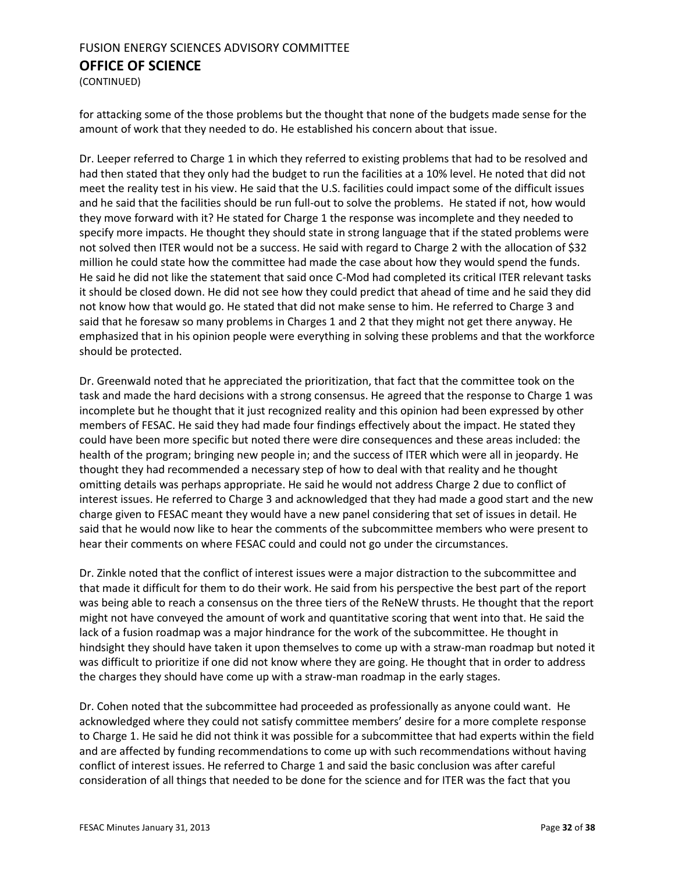(CONTINUED)

for attacking some of the those problems but the thought that none of the budgets made sense for the amount of work that they needed to do. He established his concern about that issue.

Dr. Leeper referred to Charge 1 in which they referred to existing problems that had to be resolved and had then stated that they only had the budget to run the facilities at a 10% level. He noted that did not meet the reality test in his view. He said that the U.S. facilities could impact some of the difficult issues and he said that the facilities should be run full-out to solve the problems. He stated if not, how would they move forward with it? He stated for Charge 1 the response was incomplete and they needed to specify more impacts. He thought they should state in strong language that if the stated problems were not solved then ITER would not be a success. He said with regard to Charge 2 with the allocation of \$32 million he could state how the committee had made the case about how they would spend the funds. He said he did not like the statement that said once C-Mod had completed its critical ITER relevant tasks it should be closed down. He did not see how they could predict that ahead of time and he said they did not know how that would go. He stated that did not make sense to him. He referred to Charge 3 and said that he foresaw so many problems in Charges 1 and 2 that they might not get there anyway. He emphasized that in his opinion people were everything in solving these problems and that the workforce should be protected.

Dr. Greenwald noted that he appreciated the prioritization, that fact that the committee took on the task and made the hard decisions with a strong consensus. He agreed that the response to Charge 1 was incomplete but he thought that it just recognized reality and this opinion had been expressed by other members of FESAC. He said they had made four findings effectively about the impact. He stated they could have been more specific but noted there were dire consequences and these areas included: the health of the program; bringing new people in; and the success of ITER which were all in jeopardy. He thought they had recommended a necessary step of how to deal with that reality and he thought omitting details was perhaps appropriate. He said he would not address Charge 2 due to conflict of interest issues. He referred to Charge 3 and acknowledged that they had made a good start and the new charge given to FESAC meant they would have a new panel considering that set of issues in detail. He said that he would now like to hear the comments of the subcommittee members who were present to hear their comments on where FESAC could and could not go under the circumstances.

Dr. Zinkle noted that the conflict of interest issues were a major distraction to the subcommittee and that made it difficult for them to do their work. He said from his perspective the best part of the report was being able to reach a consensus on the three tiers of the ReNeW thrusts. He thought that the report might not have conveyed the amount of work and quantitative scoring that went into that. He said the lack of a fusion roadmap was a major hindrance for the work of the subcommittee. He thought in hindsight they should have taken it upon themselves to come up with a straw-man roadmap but noted it was difficult to prioritize if one did not know where they are going. He thought that in order to address the charges they should have come up with a straw-man roadmap in the early stages.

Dr. Cohen noted that the subcommittee had proceeded as professionally as anyone could want. He acknowledged where they could not satisfy committee members' desire for a more complete response to Charge 1. He said he did not think it was possible for a subcommittee that had experts within the field and are affected by funding recommendations to come up with such recommendations without having conflict of interest issues. He referred to Charge 1 and said the basic conclusion was after careful consideration of all things that needed to be done for the science and for ITER was the fact that you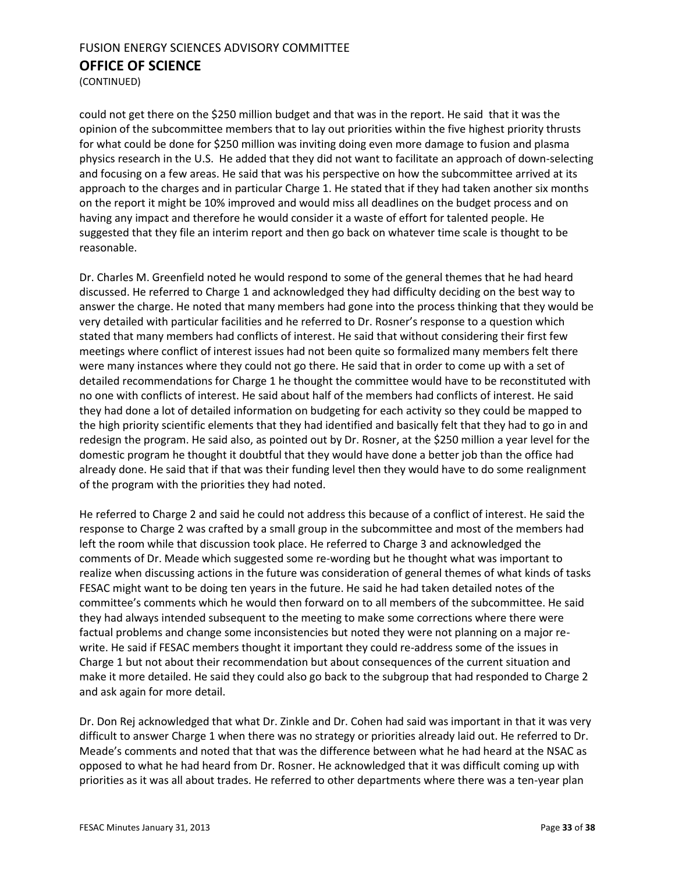(CONTINUED)

could not get there on the \$250 million budget and that was in the report. He said that it was the opinion of the subcommittee members that to lay out priorities within the five highest priority thrusts for what could be done for \$250 million was inviting doing even more damage to fusion and plasma physics research in the U.S. He added that they did not want to facilitate an approach of down-selecting and focusing on a few areas. He said that was his perspective on how the subcommittee arrived at its approach to the charges and in particular Charge 1. He stated that if they had taken another six months on the report it might be 10% improved and would miss all deadlines on the budget process and on having any impact and therefore he would consider it a waste of effort for talented people. He suggested that they file an interim report and then go back on whatever time scale is thought to be reasonable.

Dr. Charles M. Greenfield noted he would respond to some of the general themes that he had heard discussed. He referred to Charge 1 and acknowledged they had difficulty deciding on the best way to answer the charge. He noted that many members had gone into the process thinking that they would be very detailed with particular facilities and he referred to Dr. Rosner's response to a question which stated that many members had conflicts of interest. He said that without considering their first few meetings where conflict of interest issues had not been quite so formalized many members felt there were many instances where they could not go there. He said that in order to come up with a set of detailed recommendations for Charge 1 he thought the committee would have to be reconstituted with no one with conflicts of interest. He said about half of the members had conflicts of interest. He said they had done a lot of detailed information on budgeting for each activity so they could be mapped to the high priority scientific elements that they had identified and basically felt that they had to go in and redesign the program. He said also, as pointed out by Dr. Rosner, at the \$250 million a year level for the domestic program he thought it doubtful that they would have done a better job than the office had already done. He said that if that was their funding level then they would have to do some realignment of the program with the priorities they had noted.

He referred to Charge 2 and said he could not address this because of a conflict of interest. He said the response to Charge 2 was crafted by a small group in the subcommittee and most of the members had left the room while that discussion took place. He referred to Charge 3 and acknowledged the comments of Dr. Meade which suggested some re-wording but he thought what was important to realize when discussing actions in the future was consideration of general themes of what kinds of tasks FESAC might want to be doing ten years in the future. He said he had taken detailed notes of the committee's comments which he would then forward on to all members of the subcommittee. He said they had always intended subsequent to the meeting to make some corrections where there were factual problems and change some inconsistencies but noted they were not planning on a major rewrite. He said if FESAC members thought it important they could re-address some of the issues in Charge 1 but not about their recommendation but about consequences of the current situation and make it more detailed. He said they could also go back to the subgroup that had responded to Charge 2 and ask again for more detail.

Dr. Don Rej acknowledged that what Dr. Zinkle and Dr. Cohen had said was important in that it was very difficult to answer Charge 1 when there was no strategy or priorities already laid out. He referred to Dr. Meade's comments and noted that that was the difference between what he had heard at the NSAC as opposed to what he had heard from Dr. Rosner. He acknowledged that it was difficult coming up with priorities as it was all about trades. He referred to other departments where there was a ten-year plan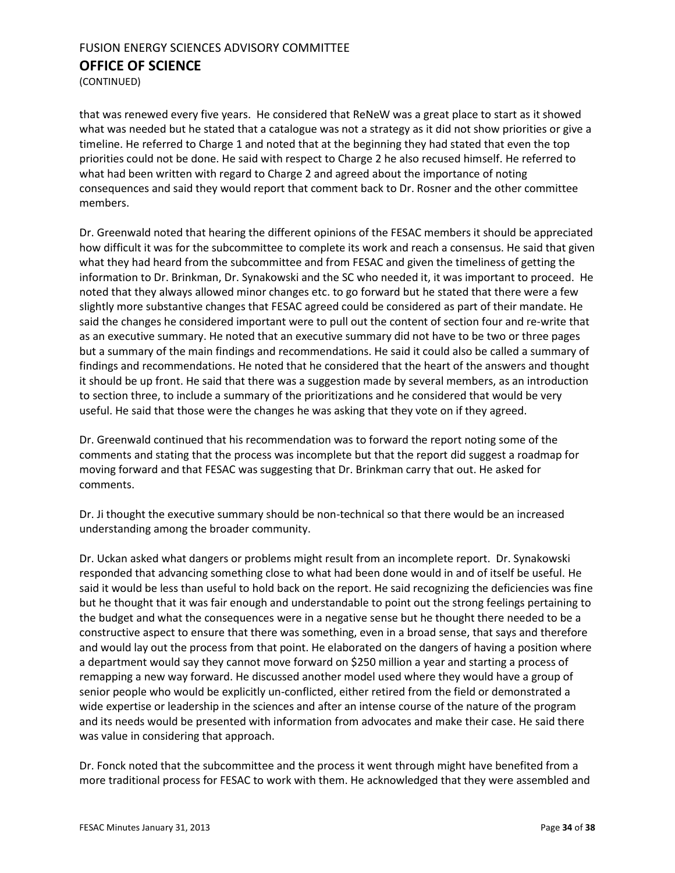(CONTINUED)

that was renewed every five years. He considered that ReNeW was a great place to start as it showed what was needed but he stated that a catalogue was not a strategy as it did not show priorities or give a timeline. He referred to Charge 1 and noted that at the beginning they had stated that even the top priorities could not be done. He said with respect to Charge 2 he also recused himself. He referred to what had been written with regard to Charge 2 and agreed about the importance of noting consequences and said they would report that comment back to Dr. Rosner and the other committee members.

Dr. Greenwald noted that hearing the different opinions of the FESAC members it should be appreciated how difficult it was for the subcommittee to complete its work and reach a consensus. He said that given what they had heard from the subcommittee and from FESAC and given the timeliness of getting the information to Dr. Brinkman, Dr. Synakowski and the SC who needed it, it was important to proceed. He noted that they always allowed minor changes etc. to go forward but he stated that there were a few slightly more substantive changes that FESAC agreed could be considered as part of their mandate. He said the changes he considered important were to pull out the content of section four and re-write that as an executive summary. He noted that an executive summary did not have to be two or three pages but a summary of the main findings and recommendations. He said it could also be called a summary of findings and recommendations. He noted that he considered that the heart of the answers and thought it should be up front. He said that there was a suggestion made by several members, as an introduction to section three, to include a summary of the prioritizations and he considered that would be very useful. He said that those were the changes he was asking that they vote on if they agreed.

Dr. Greenwald continued that his recommendation was to forward the report noting some of the comments and stating that the process was incomplete but that the report did suggest a roadmap for moving forward and that FESAC was suggesting that Dr. Brinkman carry that out. He asked for comments.

Dr. Ji thought the executive summary should be non-technical so that there would be an increased understanding among the broader community.

Dr. Uckan asked what dangers or problems might result from an incomplete report. Dr. Synakowski responded that advancing something close to what had been done would in and of itself be useful. He said it would be less than useful to hold back on the report. He said recognizing the deficiencies was fine but he thought that it was fair enough and understandable to point out the strong feelings pertaining to the budget and what the consequences were in a negative sense but he thought there needed to be a constructive aspect to ensure that there was something, even in a broad sense, that says and therefore and would lay out the process from that point. He elaborated on the dangers of having a position where a department would say they cannot move forward on \$250 million a year and starting a process of remapping a new way forward. He discussed another model used where they would have a group of senior people who would be explicitly un-conflicted, either retired from the field or demonstrated a wide expertise or leadership in the sciences and after an intense course of the nature of the program and its needs would be presented with information from advocates and make their case. He said there was value in considering that approach.

Dr. Fonck noted that the subcommittee and the process it went through might have benefited from a more traditional process for FESAC to work with them. He acknowledged that they were assembled and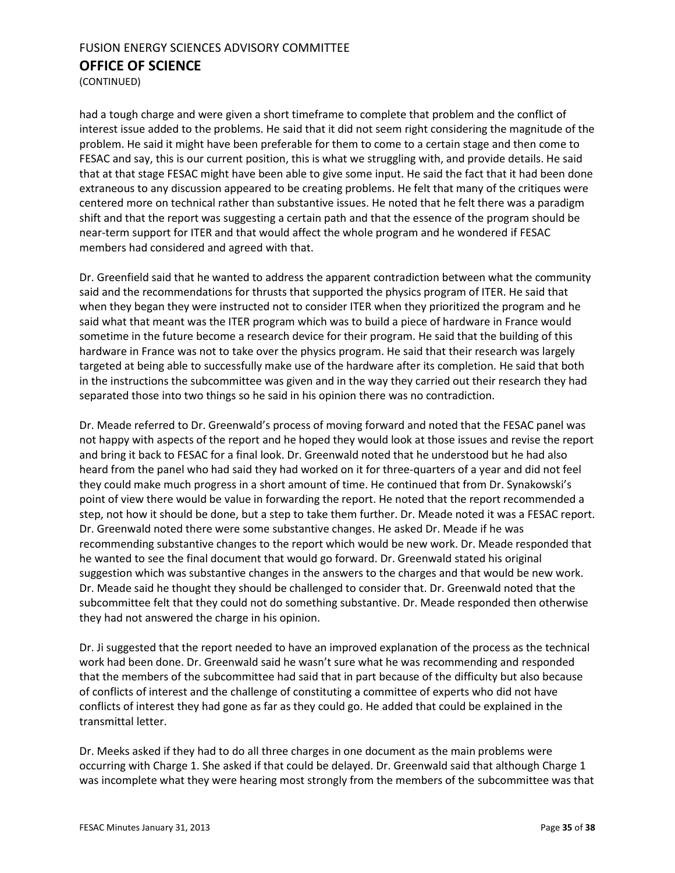(CONTINUED)

had a tough charge and were given a short timeframe to complete that problem and the conflict of interest issue added to the problems. He said that it did not seem right considering the magnitude of the problem. He said it might have been preferable for them to come to a certain stage and then come to FESAC and say, this is our current position, this is what we struggling with, and provide details. He said that at that stage FESAC might have been able to give some input. He said the fact that it had been done extraneous to any discussion appeared to be creating problems. He felt that many of the critiques were centered more on technical rather than substantive issues. He noted that he felt there was a paradigm shift and that the report was suggesting a certain path and that the essence of the program should be near-term support for ITER and that would affect the whole program and he wondered if FESAC members had considered and agreed with that.

Dr. Greenfield said that he wanted to address the apparent contradiction between what the community said and the recommendations for thrusts that supported the physics program of ITER. He said that when they began they were instructed not to consider ITER when they prioritized the program and he said what that meant was the ITER program which was to build a piece of hardware in France would sometime in the future become a research device for their program. He said that the building of this hardware in France was not to take over the physics program. He said that their research was largely targeted at being able to successfully make use of the hardware after its completion. He said that both in the instructions the subcommittee was given and in the way they carried out their research they had separated those into two things so he said in his opinion there was no contradiction.

Dr. Meade referred to Dr. Greenwald's process of moving forward and noted that the FESAC panel was not happy with aspects of the report and he hoped they would look at those issues and revise the report and bring it back to FESAC for a final look. Dr. Greenwald noted that he understood but he had also heard from the panel who had said they had worked on it for three-quarters of a year and did not feel they could make much progress in a short amount of time. He continued that from Dr. Synakowski's point of view there would be value in forwarding the report. He noted that the report recommended a step, not how it should be done, but a step to take them further. Dr. Meade noted it was a FESAC report. Dr. Greenwald noted there were some substantive changes. He asked Dr. Meade if he was recommending substantive changes to the report which would be new work. Dr. Meade responded that he wanted to see the final document that would go forward. Dr. Greenwald stated his original suggestion which was substantive changes in the answers to the charges and that would be new work. Dr. Meade said he thought they should be challenged to consider that. Dr. Greenwald noted that the subcommittee felt that they could not do something substantive. Dr. Meade responded then otherwise they had not answered the charge in his opinion.

Dr. Ji suggested that the report needed to have an improved explanation of the process as the technical work had been done. Dr. Greenwald said he wasn't sure what he was recommending and responded that the members of the subcommittee had said that in part because of the difficulty but also because of conflicts of interest and the challenge of constituting a committee of experts who did not have conflicts of interest they had gone as far as they could go. He added that could be explained in the transmittal letter.

Dr. Meeks asked if they had to do all three charges in one document as the main problems were occurring with Charge 1. She asked if that could be delayed. Dr. Greenwald said that although Charge 1 was incomplete what they were hearing most strongly from the members of the subcommittee was that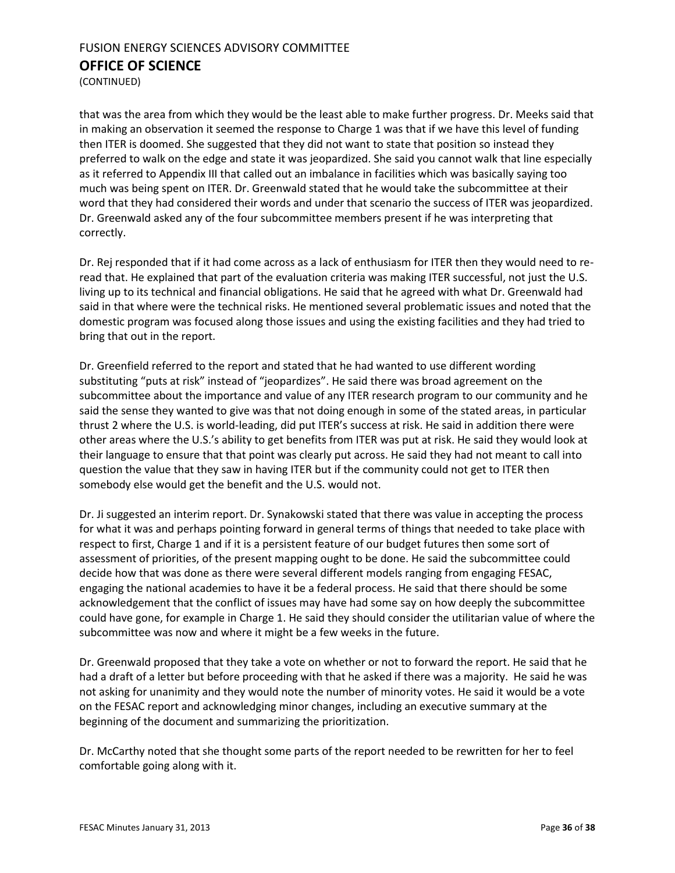(CONTINUED)

that was the area from which they would be the least able to make further progress. Dr. Meeks said that in making an observation it seemed the response to Charge 1 was that if we have this level of funding then ITER is doomed. She suggested that they did not want to state that position so instead they preferred to walk on the edge and state it was jeopardized. She said you cannot walk that line especially as it referred to Appendix III that called out an imbalance in facilities which was basically saying too much was being spent on ITER. Dr. Greenwald stated that he would take the subcommittee at their word that they had considered their words and under that scenario the success of ITER was jeopardized. Dr. Greenwald asked any of the four subcommittee members present if he was interpreting that correctly.

Dr. Rej responded that if it had come across as a lack of enthusiasm for ITER then they would need to reread that. He explained that part of the evaluation criteria was making ITER successful, not just the U.S. living up to its technical and financial obligations. He said that he agreed with what Dr. Greenwald had said in that where were the technical risks. He mentioned several problematic issues and noted that the domestic program was focused along those issues and using the existing facilities and they had tried to bring that out in the report.

Dr. Greenfield referred to the report and stated that he had wanted to use different wording substituting "puts at risk" instead of "jeopardizes". He said there was broad agreement on the subcommittee about the importance and value of any ITER research program to our community and he said the sense they wanted to give was that not doing enough in some of the stated areas, in particular thrust 2 where the U.S. is world-leading, did put ITER's success at risk. He said in addition there were other areas where the U.S.'s ability to get benefits from ITER was put at risk. He said they would look at their language to ensure that that point was clearly put across. He said they had not meant to call into question the value that they saw in having ITER but if the community could not get to ITER then somebody else would get the benefit and the U.S. would not.

Dr. Ji suggested an interim report. Dr. Synakowski stated that there was value in accepting the process for what it was and perhaps pointing forward in general terms of things that needed to take place with respect to first, Charge 1 and if it is a persistent feature of our budget futures then some sort of assessment of priorities, of the present mapping ought to be done. He said the subcommittee could decide how that was done as there were several different models ranging from engaging FESAC, engaging the national academies to have it be a federal process. He said that there should be some acknowledgement that the conflict of issues may have had some say on how deeply the subcommittee could have gone, for example in Charge 1. He said they should consider the utilitarian value of where the subcommittee was now and where it might be a few weeks in the future.

Dr. Greenwald proposed that they take a vote on whether or not to forward the report. He said that he had a draft of a letter but before proceeding with that he asked if there was a majority. He said he was not asking for unanimity and they would note the number of minority votes. He said it would be a vote on the FESAC report and acknowledging minor changes, including an executive summary at the beginning of the document and summarizing the prioritization.

Dr. McCarthy noted that she thought some parts of the report needed to be rewritten for her to feel comfortable going along with it.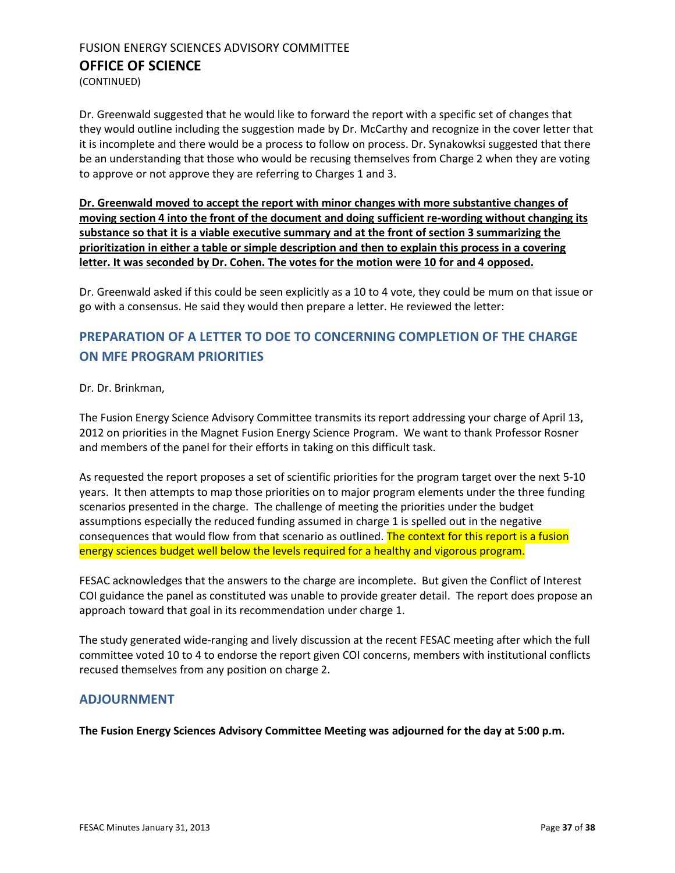(CONTINUED)

Dr. Greenwald suggested that he would like to forward the report with a specific set of changes that they would outline including the suggestion made by Dr. McCarthy and recognize in the cover letter that it is incomplete and there would be a process to follow on process. Dr. Synakowksi suggested that there be an understanding that those who would be recusing themselves from Charge 2 when they are voting to approve or not approve they are referring to Charges 1 and 3.

**Dr. Greenwald moved to accept the report with minor changes with more substantive changes of moving section 4 into the front of the document and doing sufficient re-wording without changing its substance so that it is a viable executive summary and at the front of section 3 summarizing the prioritization in either a table or simple description and then to explain this process in a covering letter. It was seconded by Dr. Cohen. The votes for the motion were 10 for and 4 opposed.** 

Dr. Greenwald asked if this could be seen explicitly as a 10 to 4 vote, they could be mum on that issue or go with a consensus. He said they would then prepare a letter. He reviewed the letter:

## <span id="page-36-0"></span>**PREPARATION OF A LETTER TO DOE TO CONCERNING COMPLETION OF THE CHARGE ON MFE PROGRAM PRIORITIES**

#### Dr. Dr. Brinkman,

The Fusion Energy Science Advisory Committee transmits its report addressing your charge of April 13, 2012 on priorities in the Magnet Fusion Energy Science Program. We want to thank Professor Rosner and members of the panel for their efforts in taking on this difficult task.

As requested the report proposes a set of scientific priorities for the program target over the next 5-10 years. It then attempts to map those priorities on to major program elements under the three funding scenarios presented in the charge. The challenge of meeting the priorities under the budget assumptions especially the reduced funding assumed in charge 1 is spelled out in the negative consequences that would flow from that scenario as outlined. The context for this report is a fusion energy sciences budget well below the levels required for a healthy and vigorous program.

FESAC acknowledges that the answers to the charge are incomplete. But given the Conflict of Interest COI guidance the panel as constituted was unable to provide greater detail. The report does propose an approach toward that goal in its recommendation under charge 1.

The study generated wide-ranging and lively discussion at the recent FESAC meeting after which the full committee voted 10 to 4 to endorse the report given COI concerns, members with institutional conflicts recused themselves from any position on charge 2.

#### **ADJOURNMENT**

**The Fusion Energy Sciences Advisory Committee Meeting was adjourned for the day at 5:00 p.m.**